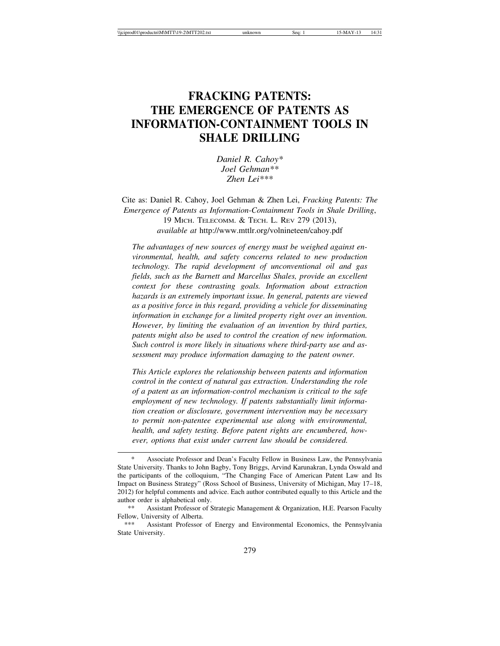# **FRACKING PATENTS: THE EMERGENCE OF PATENTS AS INFORMATION-CONTAINMENT TOOLS IN SHALE DRILLING**

*Daniel R. Cahoy\* Joel Gehman\*\* Zhen Lei\*\*\**

Cite as: Daniel R. Cahoy, Joel Gehman & Zhen Lei, *Fracking Patents: The Emergence of Patents as Information-Containment Tools in Shale Drilling*, 19 MICH. TELECOMM. & TECH. L. REV 279 (2013), *available at* http://www.mttlr.org/volnineteen/cahoy.pdf

*The advantages of new sources of energy must be weighed against environmental, health, and safety concerns related to new production technology. The rapid development of unconventional oil and gas fields, such as the Barnett and Marcellus Shales, provide an excellent context for these contrasting goals. Information about extraction hazards is an extremely important issue. In general, patents are viewed as a positive force in this regard, providing a vehicle for disseminating information in exchange for a limited property right over an invention. However, by limiting the evaluation of an invention by third parties, patents might also be used to control the creation of new information. Such control is more likely in situations where third-party use and assessment may produce information damaging to the patent owner.*

*This Article explores the relationship between patents and information control in the context of natural gas extraction. Understanding the role of a patent as an information-control mechanism is critical to the safe employment of new technology. If patents substantially limit information creation or disclosure, government intervention may be necessary to permit non-patentee experimental use along with environmental, health, and safety testing. Before patent rights are encumbered, however, options that exist under current law should be considered.*

Associate Professor and Dean's Faculty Fellow in Business Law, the Pennsylvania State University. Thanks to John Bagby, Tony Briggs, Arvind Karunakran, Lynda Oswald and the participants of the colloquium, "The Changing Face of American Patent Law and Its Impact on Business Strategy" (Ross School of Business, University of Michigan, May 17–18, 2012) for helpful comments and advice. Each author contributed equally to this Article and the author order is alphabetical only.<br> $**$  A scient Professor of S

Assistant Professor of Strategic Management & Organization, H.E. Pearson Faculty Fellow, University of Alberta.<br>\*\*\* Assistant Professor

Assistant Professor of Energy and Environmental Economics, the Pennsylvania State University.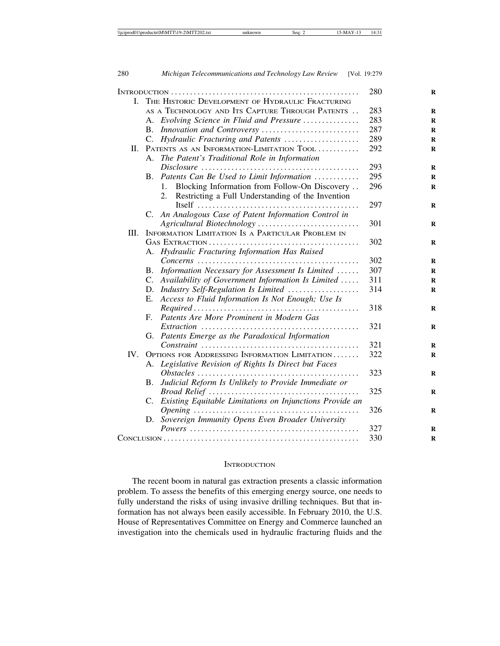|     |                                                                                                         | 280 |
|-----|---------------------------------------------------------------------------------------------------------|-----|
| L   | THE HISTORIC DEVELOPMENT OF HYDRAULIC FRACTURING                                                        |     |
|     | AS A TECHNOLOGY AND ITS CAPTURE THROUGH PATENTS                                                         | 283 |
|     | A. Evolving Science in Fluid and Pressure                                                               | 283 |
|     | B. Innovation and Controversy                                                                           | 287 |
|     | C. Hydraulic Fracturing and Patents                                                                     | 289 |
| П.  | PATENTS AS AN INFORMATION-LIMITATION TOOL                                                               | 292 |
|     | A. The Patent's Traditional Role in Information                                                         |     |
|     |                                                                                                         | 293 |
|     | B. Patents Can Be Used to Limit Information                                                             | 295 |
|     | Blocking Information from Follow-On Discovery<br>$1_{\cdot}$                                            | 296 |
|     | Restricting a Full Understanding of the Invention<br>2.                                                 |     |
|     |                                                                                                         | 297 |
|     | C. An Analogous Case of Patent Information Control in                                                   |     |
|     | Agricultural Biotechnology                                                                              | 301 |
| Ш.  | INFORMATION LIMITATION IS A PARTICULAR PROBLEM IN                                                       |     |
|     |                                                                                                         | 302 |
|     | A. Hydraulic Fracturing Information Has Raised                                                          |     |
|     |                                                                                                         | 302 |
|     | Information Necessary for Assessment Is Limited<br><b>B.</b>                                            | 307 |
|     | C. Availability of Government Information Is Limited                                                    | 311 |
|     | D. Industry Self-Regulation Is Limited                                                                  | 314 |
|     | Access to Fluid Information Is Not Enough; Use Is<br>Е.                                                 |     |
|     | $Required \dots \dots \dots \dots \dots \dots \dots \dots \dots \dots \dots \dots \dots \dots$          | 318 |
|     | Patents Are More Prominent in Modern Gas<br>$F_{\cdot}$                                                 |     |
|     |                                                                                                         | 321 |
|     | G. Patents Emerge as the Paradoxical Information                                                        |     |
|     |                                                                                                         | 321 |
| IV. | OPTIONS FOR ADDRESSING INFORMATION LIMITATION                                                           | 322 |
|     | Legislative Revision of Rights Is Direct but Faces<br>А.                                                | 323 |
|     | Judicial Reform Is Unlikely to Provide Immediate or<br>В.                                               |     |
|     |                                                                                                         | 325 |
|     | C. Existing Equitable Limitations on Injunctions Provide an                                             |     |
|     | $\mathit{Opening}\ \dots \dots \dots \dots \dots \dots \dots \dots \dots \dots \dots \dots \dots \dots$ | 326 |
|     | D. Sovereign Immunity Opens Even Broader University                                                     |     |
|     |                                                                                                         | 327 |
|     |                                                                                                         | 330 |
|     |                                                                                                         |     |

## **INTRODUCTION**

The recent boom in natural gas extraction presents a classic information problem. To assess the benefits of this emerging energy source, one needs to fully understand the risks of using invasive drilling techniques. But that information has not always been easily accessible. In February 2010, the U.S. House of Representatives Committee on Energy and Commerce launched an investigation into the chemicals used in hydraulic fracturing fluids and the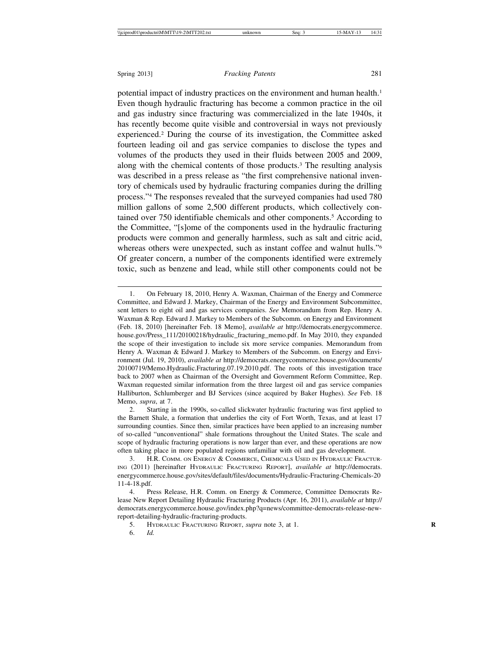potential impact of industry practices on the environment and human health.<sup>1</sup> Even though hydraulic fracturing has become a common practice in the oil and gas industry since fracturing was commercialized in the late 1940s, it has recently become quite visible and controversial in ways not previously experienced.2 During the course of its investigation, the Committee asked fourteen leading oil and gas service companies to disclose the types and volumes of the products they used in their fluids between 2005 and 2009, along with the chemical contents of those products.3 The resulting analysis was described in a press release as "the first comprehensive national inventory of chemicals used by hydraulic fracturing companies during the drilling process."4 The responses revealed that the surveyed companies had used 780 million gallons of some 2,500 different products, which collectively contained over 750 identifiable chemicals and other components.<sup>5</sup> According to the Committee, "[s]ome of the components used in the hydraulic fracturing products were common and generally harmless, such as salt and citric acid, whereas others were unexpected, such as instant coffee and walnut hulls."<sup>6</sup> Of greater concern, a number of the components identified were extremely toxic, such as benzene and lead, while still other components could not be

<sup>1.</sup> On February 18, 2010, Henry A. Waxman, Chairman of the Energy and Commerce Committee, and Edward J. Markey, Chairman of the Energy and Environment Subcommittee, sent letters to eight oil and gas services companies. *See* Memorandum from Rep. Henry A. Waxman & Rep. Edward J. Markey to Members of the Subcomm. on Energy and Environment (Feb. 18, 2010) [hereinafter Feb. 18 Memo], *available at* http://democrats.energycommerce. house.gov/Press\_111/20100218/hydraulic\_fracturing\_memo.pdf. In May 2010, they expanded the scope of their investigation to include six more service companies. Memorandum from Henry A. Waxman & Edward J. Markey to Members of the Subcomm. on Energy and Environment (Jul. 19, 2010), *available at* http://democrats.energycommerce.house.gov/documents/ 20100719/Memo.Hydraulic.Fracturing.07.19.2010.pdf. The roots of this investigation trace back to 2007 when as Chairman of the Oversight and Government Reform Committee, Rep. Waxman requested similar information from the three largest oil and gas service companies Halliburton, Schlumberger and BJ Services (since acquired by Baker Hughes). *See* Feb. 18 Memo, *supra*, at 7.

<sup>2.</sup> Starting in the 1990s, so-called slickwater hydraulic fracturing was first applied to the Barnett Shale, a formation that underlies the city of Fort Worth, Texas, and at least 17 surrounding counties. Since then, similar practices have been applied to an increasing number of so-called "unconventional" shale formations throughout the United States. The scale and scope of hydraulic fracturing operations is now larger than ever, and these operations are now often taking place in more populated regions unfamiliar with oil and gas development.

<sup>3.</sup> H.R. COMM. ON ENERGY & COMMERCE, CHEMICALS USED IN HYDRAULIC FRACTUR-ING (2011) [hereinafter HYDRAULIC FRACTURING REPORT], *available at* http://democrats. energycommerce.house.gov/sites/default/files/documents/Hydraulic-Fracturing-Chemicals-20 11-4-18.pdf.

<sup>4.</sup> Press Release, H.R. Comm. on Energy & Commerce, Committee Democrats Release New Report Detailing Hydraulic Fracturing Products (Apr. 16, 2011), *available at* http:// democrats.energycommerce.house.gov/index.php?q=news/committee-democrats-release-newreport-detailing-hydraulic-fracturing-products.

<sup>5.</sup> HYDRAULIC FRACTURING REPORT, *supra* note 3, at 1. **R**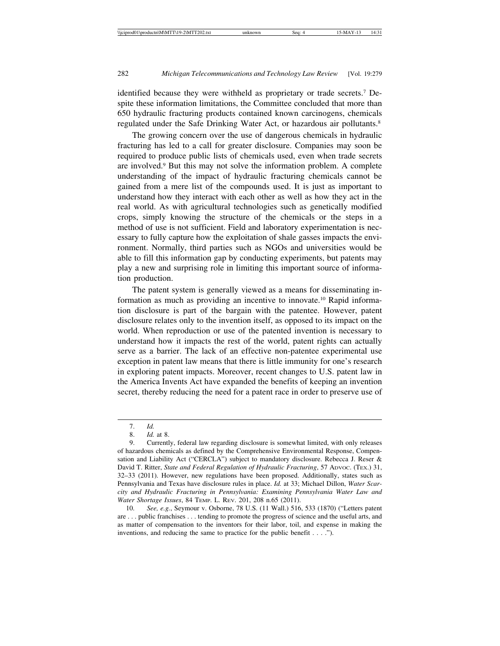identified because they were withheld as proprietary or trade secrets.7 Despite these information limitations, the Committee concluded that more than 650 hydraulic fracturing products contained known carcinogens, chemicals regulated under the Safe Drinking Water Act, or hazardous air pollutants.8

The growing concern over the use of dangerous chemicals in hydraulic fracturing has led to a call for greater disclosure. Companies may soon be required to produce public lists of chemicals used, even when trade secrets are involved.9 But this may not solve the information problem. A complete understanding of the impact of hydraulic fracturing chemicals cannot be gained from a mere list of the compounds used. It is just as important to understand how they interact with each other as well as how they act in the real world. As with agricultural technologies such as genetically modified crops, simply knowing the structure of the chemicals or the steps in a method of use is not sufficient. Field and laboratory experimentation is necessary to fully capture how the exploitation of shale gasses impacts the environment. Normally, third parties such as NGOs and universities would be able to fill this information gap by conducting experiments, but patents may play a new and surprising role in limiting this important source of information production.

The patent system is generally viewed as a means for disseminating information as much as providing an incentive to innovate.10 Rapid information disclosure is part of the bargain with the patentee. However, patent disclosure relates only to the invention itself, as opposed to its impact on the world. When reproduction or use of the patented invention is necessary to understand how it impacts the rest of the world, patent rights can actually serve as a barrier. The lack of an effective non-patentee experimental use exception in patent law means that there is little immunity for one's research in exploring patent impacts. Moreover, recent changes to U.S. patent law in the America Invents Act have expanded the benefits of keeping an invention secret, thereby reducing the need for a patent race in order to preserve use of

<sup>7.</sup> *Id.*

<sup>8.</sup> *Id.* at 8.

<sup>9.</sup> Currently, federal law regarding disclosure is somewhat limited, with only releases of hazardous chemicals as defined by the Comprehensive Environmental Response, Compensation and Liability Act ("CERCLA") subject to mandatory disclosure. Rebecca J. Reser & David T. Ritter, *State and Federal Regulation of Hydraulic Fracturing*, 57 ADVOC. (TEX.) 31, 32–33 (2011). However, new regulations have been proposed. Additionally, states such as Pennsylvania and Texas have disclosure rules in place. *Id.* at 33; Michael Dillon, *Water Scarcity and Hydraulic Fracturing in Pennsylvania: Examining Pennsylvania Water Law and Water Shortage Issues*, 84 TEMP. L. REV. 201, 208 n.65 (2011).

<sup>10.</sup> *See, e.g.*, Seymour v. Osborne, 78 U.S. (11 Wall.) 516, 533 (1870) ("Letters patent are . . . public franchises . . . tending to promote the progress of science and the useful arts, and as matter of compensation to the inventors for their labor, toil, and expense in making the inventions, and reducing the same to practice for the public benefit . . . .").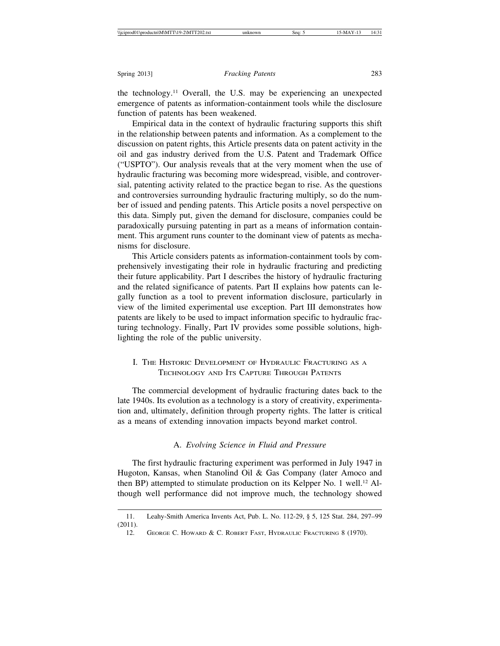the technology.11 Overall, the U.S. may be experiencing an unexpected emergence of patents as information-containment tools while the disclosure function of patents has been weakened.

Empirical data in the context of hydraulic fracturing supports this shift in the relationship between patents and information. As a complement to the discussion on patent rights, this Article presents data on patent activity in the oil and gas industry derived from the U.S. Patent and Trademark Office ("USPTO"). Our analysis reveals that at the very moment when the use of hydraulic fracturing was becoming more widespread, visible, and controversial, patenting activity related to the practice began to rise. As the questions and controversies surrounding hydraulic fracturing multiply, so do the number of issued and pending patents. This Article posits a novel perspective on this data. Simply put, given the demand for disclosure, companies could be paradoxically pursuing patenting in part as a means of information containment. This argument runs counter to the dominant view of patents as mechanisms for disclosure.

This Article considers patents as information-containment tools by comprehensively investigating their role in hydraulic fracturing and predicting their future applicability. Part I describes the history of hydraulic fracturing and the related significance of patents. Part II explains how patents can legally function as a tool to prevent information disclosure, particularly in view of the limited experimental use exception. Part III demonstrates how patents are likely to be used to impact information specific to hydraulic fracturing technology. Finally, Part IV provides some possible solutions, highlighting the role of the public university.

# I. THE HISTORIC DEVELOPMENT OF HYDRAULIC FRACTURING AS A TECHNOLOGY AND ITS CAPTURE THROUGH PATENTS

The commercial development of hydraulic fracturing dates back to the late 1940s. Its evolution as a technology is a story of creativity, experimentation and, ultimately, definition through property rights. The latter is critical as a means of extending innovation impacts beyond market control.

#### A. *Evolving Science in Fluid and Pressure*

The first hydraulic fracturing experiment was performed in July 1947 in Hugoton, Kansas, when Stanolind Oil & Gas Company (later Amoco and then BP) attempted to stimulate production on its Kelpper No. 1 well.<sup>12</sup> Although well performance did not improve much, the technology showed

<sup>11.</sup> Leahy-Smith America Invents Act, Pub. L. No. 112-29, § 5, 125 Stat. 284, 297–99 (2011).

<sup>12.</sup> GEORGE C. HOWARD & C. ROBERT FAST, HYDRAULIC FRACTURING 8 (1970).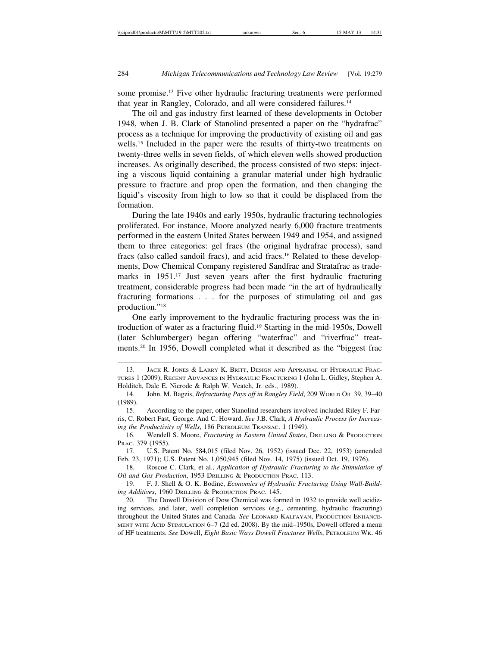some promise.13 Five other hydraulic fracturing treatments were performed that year in Rangley, Colorado, and all were considered failures.14

The oil and gas industry first learned of these developments in October 1948, when J. B. Clark of Stanolind presented a paper on the "hydrafrac" process as a technique for improving the productivity of existing oil and gas wells.15 Included in the paper were the results of thirty-two treatments on twenty-three wells in seven fields, of which eleven wells showed production increases. As originally described, the process consisted of two steps: injecting a viscous liquid containing a granular material under high hydraulic pressure to fracture and prop open the formation, and then changing the liquid's viscosity from high to low so that it could be displaced from the formation.

During the late 1940s and early 1950s, hydraulic fracturing technologies proliferated. For instance, Moore analyzed nearly 6,000 fracture treatments performed in the eastern United States between 1949 and 1954, and assigned them to three categories: gel fracs (the original hydrafrac process), sand fracs (also called sandoil fracs), and acid fracs.<sup>16</sup> Related to these developments, Dow Chemical Company registered Sandfrac and Stratafrac as trademarks in 1951.<sup>17</sup> Just seven years after the first hydraulic fracturing treatment, considerable progress had been made "in the art of hydraulically fracturing formations . . . for the purposes of stimulating oil and gas production."18

One early improvement to the hydraulic fracturing process was the introduction of water as a fracturing fluid.19 Starting in the mid-1950s, Dowell (later Schlumberger) began offering "waterfrac" and "riverfrac" treatments.20 In 1956, Dowell completed what it described as the "biggest frac

16. Wendell S. Moore, *Fracturing in Eastern United States*, DRILLING & PRODUCTION PRAC. 379 (1955).

17. U.S. Patent No. 584,015 (filed Nov. 26, 1952) (issued Dec. 22, 1953) (amended Feb. 23, 1971); U.S. Patent No. 1,050,945 (filed Nov. 14, 1975) (issued Oct. 19, 1976).

18. Roscoe C. Clark, et al., *Application of Hydraulic Fracturing to the Stimulation of Oil and Gas Production*, 1953 DRILLING & PRODUCTION PRAC. 113.

19. F. J. Shell & O. K. Bodine, *Economics of Hydraulic Fracturing Using Wall-Building Additives*, 1960 DRILLING & PRODUCTION PRAC. 145.

20. The Dowell Division of Dow Chemical was formed in 1932 to provide well acidizing services, and later, well completion services (e.g., cementing, hydraulic fracturing) throughout the United States and Canada. *See* LEONARD KALFAYAN, PRODUCTION ENHANCE-MENT WITH ACID STIMULATION 6–7 (2d ed. 2008). By the mid–1950s, Dowell offered a menu of HF treatments. *See* Dowell, *Eight Basic Ways Dowell Fractures Wells*, PETROLEUM WK. 46

<sup>13.</sup> JACK R. JONES & LARRY K. BRITT, DESIGN AND APPRAISAL OF HYDRAULIC FRAC-TURES 1 (2009); RECENT ADVANCES IN HYDRAULIC FRACTURING 1 (John L. Gidley, Stephen A. Holditch, Dale E. Nierode & Ralph W. Veatch, Jr. eds., 1989).

<sup>14.</sup> John. M. Bagzis, *Refracturing Pays off in Rangley Field*, 209 WORLD OIL 39, 39-40 (1989).

<sup>15.</sup> According to the paper, other Stanolind researchers involved included Riley F. Farris, C. Robert Fast, George. And C. Howard. *See* J.B. Clark, *A Hydraulic Process for Increasing the Productivity of Wells*, 186 PETROLEUM TRANSAC. 1 (1949).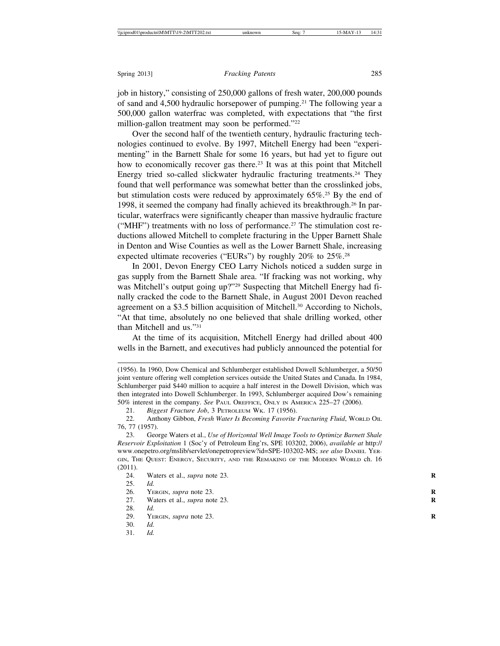job in history," consisting of 250,000 gallons of fresh water, 200,000 pounds of sand and 4,500 hydraulic horsepower of pumping.21 The following year a 500,000 gallon waterfrac was completed, with expectations that "the first million-gallon treatment may soon be performed."22

Over the second half of the twentieth century, hydraulic fracturing technologies continued to evolve. By 1997, Mitchell Energy had been "experimenting" in the Barnett Shale for some 16 years, but had yet to figure out how to economically recover gas there.<sup>23</sup> It was at this point that Mitchell Energy tried so-called slickwater hydraulic fracturing treatments.<sup>24</sup> They found that well performance was somewhat better than the crosslinked jobs, but stimulation costs were reduced by approximately  $65\%$ <sup>25</sup> By the end of 1998, it seemed the company had finally achieved its breakthrough.<sup>26</sup> In particular, waterfracs were significantly cheaper than massive hydraulic fracture ("MHF") treatments with no loss of performance.27 The stimulation cost reductions allowed Mitchell to complete fracturing in the Upper Barnett Shale in Denton and Wise Counties as well as the Lower Barnett Shale, increasing expected ultimate recoveries ("EURs") by roughly 20% to 25%.28

In 2001, Devon Energy CEO Larry Nichols noticed a sudden surge in gas supply from the Barnett Shale area. "If fracking was not working, why was Mitchell's output going up?"<sup>29</sup> Suspecting that Mitchell Energy had finally cracked the code to the Barnett Shale, in August 2001 Devon reached agreement on a \$3.5 billion acquisition of Mitchell.<sup>30</sup> According to Nichols, "At that time, absolutely no one believed that shale drilling worked, other than Mitchell and us."31

At the time of its acquisition, Mitchell Energy had drilled about 400 wells in the Barnett, and executives had publicly announced the potential for

- 24. Waters et al., *supra* note 23. **R**
- 25. *Id.*
- 26. YERGIN, *supra* note 23. **R**
- 27. Waters et al., *supra* note 23. **R**
- 28. *Id.*
- 29. YERGIN, *supra* note 23. **R**
- 30. *Id.*
- 31. *Id.*

<sup>(1956).</sup> In 1960, Dow Chemical and Schlumberger established Dowell Schlumberger, a 50/50 joint venture offering well completion services outside the United States and Canada. In 1984, Schlumberger paid \$440 million to acquire a half interest in the Dowell Division, which was then integrated into Dowell Schlumberger. In 1993, Schlumberger acquired Dow's remaining 50% interest in the company. *See* PAUL OREFFICE, ONLY IN AMERICA 225–27 (2006).

<sup>21.</sup> *Biggest Fracture Job*, 3 PETROLEUM WK. 17 (1956).

<sup>22.</sup> Anthony Gibbon, *Fresh Water Is Becoming Favorite Fracturing Fluid*, WORLD OIL 76, 77 (1957).

<sup>23.</sup> George Waters et al., *Use of Horizontal Well Image Tools to Optimize Barnett Shale Reservoir Exploitation* 1 (Soc'y of Petroleum Eng'rs, SPE 103202, 2006), *available at* http:// www.onepetro.org/mslib/servlet/onepetropreview?id=SPE-103202-MS; *see also* DANIEL YER-GIN, THE QUEST: ENERGY, SECURITY, AND THE REMAKING OF THE MODERN WORLD ch. 16 (2011).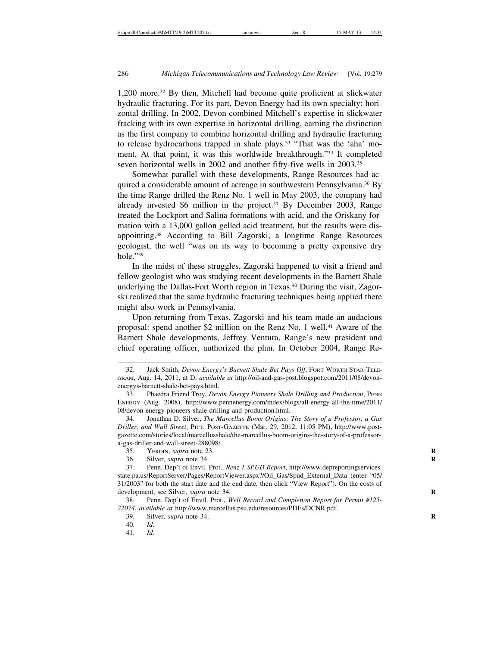1,200 more.32 By then, Mitchell had become quite proficient at slickwater hydraulic fracturing. For its part, Devon Energy had its own specialty: horizontal drilling. In 2002, Devon combined Mitchell's expertise in slickwater fracking with its own expertise in horizontal drilling, earning the distinction as the first company to combine horizontal drilling and hydraulic fracturing to release hydrocarbons trapped in shale plays.<sup>33</sup> "That was the 'aha' moment. At that point, it was this worldwide breakthrough."34 It completed seven horizontal wells in 2002 and another fifty-five wells in 2003.35

Somewhat parallel with these developments, Range Resources had acquired a considerable amount of acreage in southwestern Pennsylvania.<sup>36</sup> By the time Range drilled the Renz No. 1 well in May 2003, the company had already invested \$6 million in the project.<sup>37</sup> By December 2003, Range treated the Lockport and Salina formations with acid, and the Oriskany formation with a 13,000 gallon gelled acid treatment, but the results were disappointing.38 According to Bill Zagorski, a longtime Range Resources geologist, the well "was on its way to becoming a pretty expensive dry hole."39

In the midst of these struggles, Zagorski happened to visit a friend and fellow geologist who was studying recent developments in the Barnett Shale underlying the Dallas-Fort Worth region in Texas.40 During the visit, Zagorski realized that the same hydraulic fracturing techniques being applied there might also work in Pennsylvania.

Upon returning from Texas, Zagorski and his team made an audacious proposal: spend another \$2 million on the Renz No. 1 well.41 Aware of the Barnett Shale developments, Jeffrey Ventura, Range's new president and chief operating officer, authorized the plan. In October 2004, Range Re-

<sup>32.</sup> Jack Smith, *Devon Energy's Barnett Shale Bet Pays Off*, FORT WORTH STAR-TELE-GRAM, Aug. 14, 2011, at D, *available at* http://oil-and-gas-post.blogspot.com/2011/08/devonenergys-barnett-shale-bet-pays.html.

<sup>33.</sup> Phaedra Friend Troy, *Devon Energy Pioneers Shale Drilling and Production*, PENN ENERGY (Aug. 2008), http://www.pennenergy.com/index/blogs/all-energy-all-the-time/2011/ 08/devon-energy-pioneers-shale-drilling-and-production.html.

<sup>34.</sup> Jonathan D. Silver, *The Marcellus Boom Origins: The Story of a Professor, a Gas Driller, and Wall Street*, PITT. POST-GAZETTE (Mar. 29, 2012, 11:05 PM), http://www.postgazette.com/stories/local/marcellusshale/the-marcellus-boom-origins-the-story-of-a-professora-gas-driller-and-wall-street-288098/.

<sup>35.</sup> YERGIN, *supra* note 23. **R**

<sup>36.</sup> Silver, *supra* note 34. **R**

<sup>37.</sup> Penn. Dep't of Envtl. Prot., *Renz 1 SPUD Report*, http://www.depreportingservices. state.pa.us/ReportServer/Pages/ReportViewer.aspx?/Oil\_Gas/Spud\_External\_Data (enter "05/ 31/2003" for both the start date and the end date, then click "View Report"). On the costs of development, see Silver, *supra* note 34. **R**

<sup>38.</sup> Penn. Dep't of Envtl. Prot., *Well Record and Completion Report for Permit #125- 22074*, *available at* http://www.marcellus.psu.edu/resources/PDFs/DCNR.pdf.

<sup>39.</sup> Silver, *supra* note 34. **R**

<sup>40.</sup> *Id.*

<sup>41.</sup> *Id.*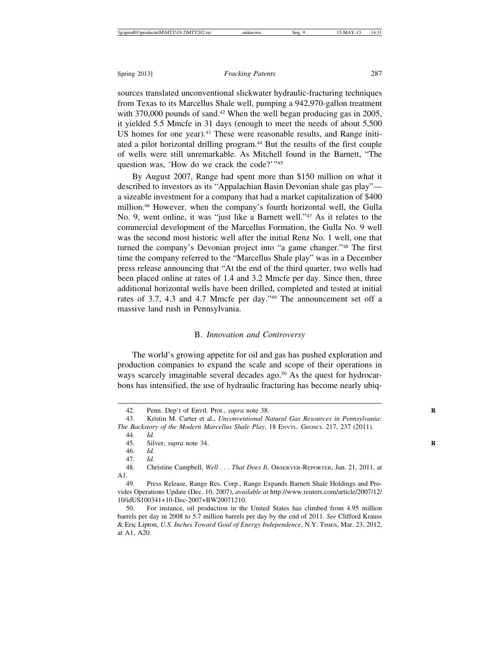Spring 2013] *Fracking Patents* 287

sources translated unconventional slickwater hydraulic-fracturing techniques from Texas to its Marcellus Shale well, pumping a 942,970-gallon treatment with  $370,000$  pounds of sand.<sup>42</sup> When the well began producing gas in 2005, it yielded 5.5 Mmcfe in 31 days (enough to meet the needs of about 5,500 US homes for one year).<sup>43</sup> These were reasonable results, and Range initiated a pilot horizontal drilling program.44 But the results of the first couple of wells were still unremarkable. As Mitchell found in the Barnett, "The question was, 'How do we crack the code?' "45

By August 2007, Range had spent more than \$150 million on what it described to investors as its "Appalachian Basin Devonian shale gas play" a sizeable investment for a company that had a market capitalization of \$400 million.46 However, when the company's fourth horizontal well, the Gulla No. 9, went online, it was "just like a Barnett well."<sup>47</sup> As it relates to the commercial development of the Marcellus Formation, the Gulla No. 9 well was the second most historic well after the initial Renz No. 1 well, one that turned the company's Devonian project into "a game changer."48 The first time the company referred to the "Marcellus Shale play" was in a December press release announcing that "At the end of the third quarter, two wells had been placed online at rates of 1.4 and 3.2 Mmcfe per day. Since then, three additional horizontal wells have been drilled, completed and tested at initial rates of 3.7, 4.3 and 4.7 Mmcfe per day."49 The announcement set off a massive land rush in Pennsylvania.

## B. *Innovation and Controversy*

The world's growing appetite for oil and gas has pushed exploration and production companies to expand the scale and scope of their operations in ways scarcely imaginable several decades ago.<sup>50</sup> As the quest for hydrocarbons has intensified, the use of hydraulic fracturing has become nearly ubiq-

<sup>42.</sup> Penn. Dep't of Envtl. Prot., *supra* note 38. **R**

<sup>43.</sup> Kristin M. Carter et al., *Unconventional Natural Gas Resources in Pennsylvania: The Backstory of the Modern Marcellus Shale Play*, 18 ENVTL. GEOSCI. 217, 237 (2011).

<sup>44.</sup> *Id.*

<sup>45.</sup> Silver, *supra* note 34. **R**

<sup>46.</sup> *Id.*

<sup>47.</sup> *Id.*

<sup>48.</sup> Christine Campbell, *Well . . . That Does It*, OBSERVER-REPORTER, Jan. 21, 2011, at A1.

<sup>49.</sup> Press Release, Range Res. Corp., Range Expands Barnett Shale Holdings and Provides Operations Update (Dec. 10, 2007), *available at* http://www.reuters.com/article/2007/12/ 10/idUS100341+10-Dec-2007+BW20071210.

<sup>50.</sup> For instance, oil production in the United States has climbed from 4.95 million barrels per day in 2008 to 5.7 million barrels per day by the end of 2011. *See* Clifford Krauss & Eric Lipton, *U.S. Inches Toward Goal of Energy Independence*, N.Y. TIMES, Mar. 23, 2012, at A1, A20.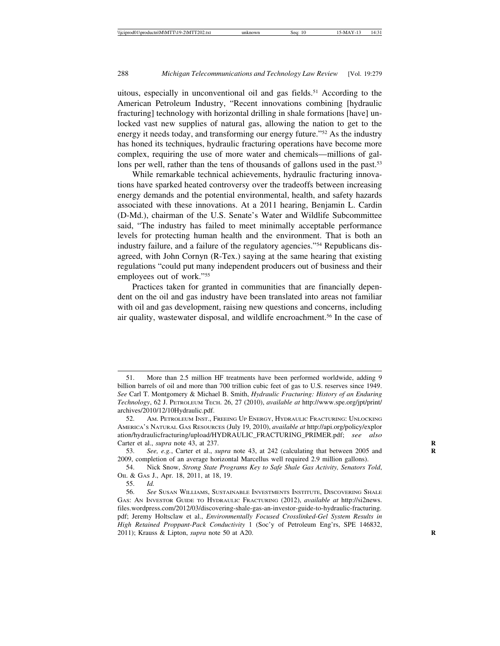uitous, especially in unconventional oil and gas fields.<sup>51</sup> According to the American Petroleum Industry, "Recent innovations combining [hydraulic fracturing] technology with horizontal drilling in shale formations [have] unlocked vast new supplies of natural gas, allowing the nation to get to the energy it needs today, and transforming our energy future."52 As the industry has honed its techniques, hydraulic fracturing operations have become more complex, requiring the use of more water and chemicals—millions of gallons per well, rather than the tens of thousands of gallons used in the past.<sup>53</sup>

While remarkable technical achievements, hydraulic fracturing innovations have sparked heated controversy over the tradeoffs between increasing energy demands and the potential environmental, health, and safety hazards associated with these innovations. At a 2011 hearing, Benjamin L. Cardin (D-Md.), chairman of the U.S. Senate's Water and Wildlife Subcommittee said, "The industry has failed to meet minimally acceptable performance levels for protecting human health and the environment. That is both an industry failure, and a failure of the regulatory agencies."54 Republicans disagreed, with John Cornyn (R-Tex.) saying at the same hearing that existing regulations "could put many independent producers out of business and their employees out of work."55

Practices taken for granted in communities that are financially dependent on the oil and gas industry have been translated into areas not familiar with oil and gas development, raising new questions and concerns, including air quality, wastewater disposal, and wildlife encroachment.56 In the case of

<sup>51.</sup> More than 2.5 million HF treatments have been performed worldwide, adding 9 billion barrels of oil and more than 700 trillion cubic feet of gas to U.S. reserves since 1949. *See* Carl T. Montgomery & Michael B. Smith, *Hydraulic Fracturing: History of an Enduring Technology*, 62 J. PETROLEUM TECH. 26, 27 (2010), *available at* http://www.spe.org/jpt/print/ archives/2010/12/10Hydraulic.pdf.

<sup>52.</sup> AM. PETROLEUM INST., FREEING UP ENERGY, HYDRAULIC FRACTURING: UNLOCKING AMERICA'S NATURAL GAS RESOURCES (July 19, 2010), *available at* http://api.org/policy/explor ation/hydraulicfracturing/upload/HYDRAULIC\_FRACTURING\_PRIMER.pdf; *see also* Carter et al., *supra* note 43, at 237.

<sup>53.</sup> *See, e.g.*, Carter et al., *supra* note 43, at 242 (calculating that between 2005 and **R** 2009, completion of an average horizontal Marcellus well required 2.9 million gallons).

<sup>54.</sup> Nick Snow, *Strong State Programs Key to Safe Shale Gas Activity, Senators Told*, OIL & GAS J., Apr. 18, 2011, at 18, 19.

<sup>55.</sup> *Id.*

<sup>56.</sup> *See* SUSAN WILLIAMS, SUSTAINABLE INVESTMENTS INSTITUTE, DISCOVERING SHALE GAS: AN INVESTOR GUIDE TO HYDRAULIC FRACTURING (2012), *available at* http://si2news. files.wordpress.com/2012/03/discovering-shale-gas-an-investor-guide-to-hydraulic-fracturing. pdf; Jeremy Holtsclaw et al., *Environmentally Focused Crosslinked-Gel System Results in High Retained Proppant-Pack Conductivity* 1 (Soc'y of Petroleum Eng'rs, SPE 146832, 2011); Krauss & Lipton, *supra* note 50 at A20. **R**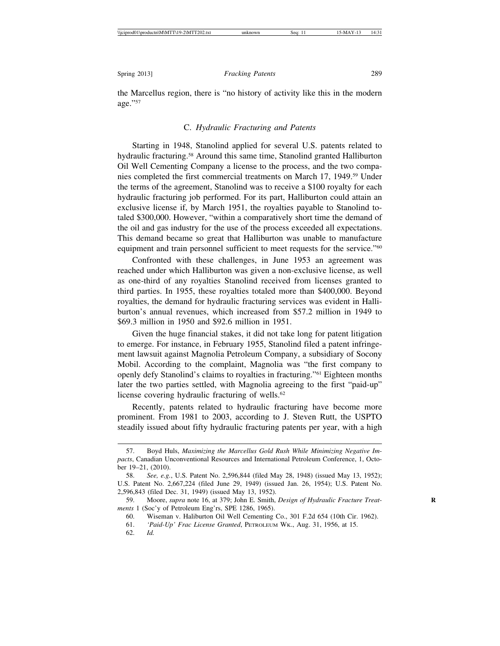the Marcellus region, there is "no history of activity like this in the modern age."57

#### C. *Hydraulic Fracturing and Patents*

Starting in 1948, Stanolind applied for several U.S. patents related to hydraulic fracturing.58 Around this same time, Stanolind granted Halliburton Oil Well Cementing Company a license to the process, and the two companies completed the first commercial treatments on March 17, 1949.59 Under the terms of the agreement, Stanolind was to receive a \$100 royalty for each hydraulic fracturing job performed. For its part, Halliburton could attain an exclusive license if, by March 1951, the royalties payable to Stanolind totaled \$300,000. However, "within a comparatively short time the demand of the oil and gas industry for the use of the process exceeded all expectations. This demand became so great that Halliburton was unable to manufacture equipment and train personnel sufficient to meet requests for the service."<sup>60</sup>

Confronted with these challenges, in June 1953 an agreement was reached under which Halliburton was given a non-exclusive license, as well as one-third of any royalties Stanolind received from licenses granted to third parties. In 1955, these royalties totaled more than \$400,000. Beyond royalties, the demand for hydraulic fracturing services was evident in Halliburton's annual revenues, which increased from \$57.2 million in 1949 to \$69.3 million in 1950 and \$92.6 million in 1951.

Given the huge financial stakes, it did not take long for patent litigation to emerge. For instance, in February 1955, Stanolind filed a patent infringement lawsuit against Magnolia Petroleum Company, a subsidiary of Socony Mobil. According to the complaint, Magnolia was "the first company to openly defy Stanolind's claims to royalties in fracturing."61 Eighteen months later the two parties settled, with Magnolia agreeing to the first "paid-up" license covering hydraulic fracturing of wells.<sup>62</sup>

Recently, patents related to hydraulic fracturing have become more prominent. From 1981 to 2003, according to J. Steven Rutt, the USPTO steadily issued about fifty hydraulic fracturing patents per year, with a high

<sup>57.</sup> Boyd Huls, *Maximizing the Marcellus Gold Rush While Minimizing Negative Impacts*, Canadian Unconventional Resources and International Petroleum Conference, 1, October 19–21, (2010).

<sup>58.</sup> *See, e.g.*, U.S. Patent No. 2,596,844 (filed May 28, 1948) (issued May 13, 1952); U.S. Patent No. 2,667,224 (filed June 29, 1949) (issued Jan. 26, 1954); U.S. Patent No. 2,596,843 (filed Dec. 31, 1949) (issued May 13, 1952).

<sup>59.</sup> Moore, *supra* note 16, at 379; John E. Smith, *Design of Hydraulic Fracture Treat-* **R** *ments* 1 (Soc'y of Petroleum Eng'rs, SPE 1286, 1965).

<sup>60.</sup> Wiseman v. Haliburton Oil Well Cementing Co., 301 F.2d 654 (10th Cir. 1962).

<sup>61.</sup> *'Paid-Up' Frac License Granted*, PETROLEUM WK., Aug. 31, 1956, at 15.

<sup>62.</sup> *Id.*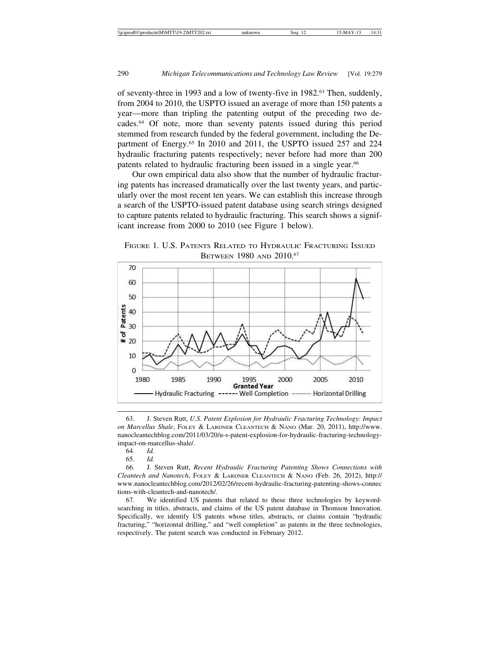of seventy-three in 1993 and a low of twenty-five in 1982.63 Then, suddenly, from 2004 to 2010, the USPTO issued an average of more than 150 patents a year—more than tripling the patenting output of the preceding two decades.64 Of note, more than seventy patents issued during this period stemmed from research funded by the federal government, including the Department of Energy.<sup>65</sup> In 2010 and 2011, the USPTO issued 257 and 224 hydraulic fracturing patents respectively; never before had more than 200 patents related to hydraulic fracturing been issued in a single year.<sup>66</sup>

Our own empirical data also show that the number of hydraulic fracturing patents has increased dramatically over the last twenty years, and particularly over the most recent ten years. We can establish this increase through a search of the USPTO-issued patent database using search strings designed to capture patents related to hydraulic fracturing. This search shows a significant increase from 2000 to 2010 (see Figure 1 below).

FIGURE 1. U.S. PATENTS RELATED TO HYDRAULIC FRACTURING ISSUED BETWEEN 1980 AND 2010.67



<sup>63.</sup> J. Steven Rutt, *U.S. Patent Explosion for Hydraulic Fracturing Technology: Impact on Marcellus Shale*, FOLEY & LARDNER CLEANTECH & NANO (Mar. 20, 2011), http://www. nanocleantechblog.com/2011/03/20/u-s-patent-explosion-for-hydraulic-fracturing-technologyimpact-on-marcellus-shale/.<br>64. Id.

67. We identified US patents that related to these three technologies by keywordsearching in titles, abstracts, and claims of the US patent database in Thomson Innovation. Specifically, we identify US patents whose titles, abstracts, or claims contain "hydraulic fracturing," "horizontal drilling," and "well completion" as patents in the three technologies, respectively. The patent search was conducted in February 2012.

<sup>64.</sup> *Id.*

<sup>65.</sup> *Id.*

<sup>66.</sup> J. Steven Rutt, *Recent Hydraulic Fracturing Patenting Shows Connections with Cleantech and Nanotech*, FOLEY & LARDNER CLEANTECH & NANO (Feb. 26, 2012), http:// www.nanocleantechblog.com/2012/02/26/recent-hydraulic-fracturing-patenting-shows-connec tions-with-cleantech-and-nanotech/.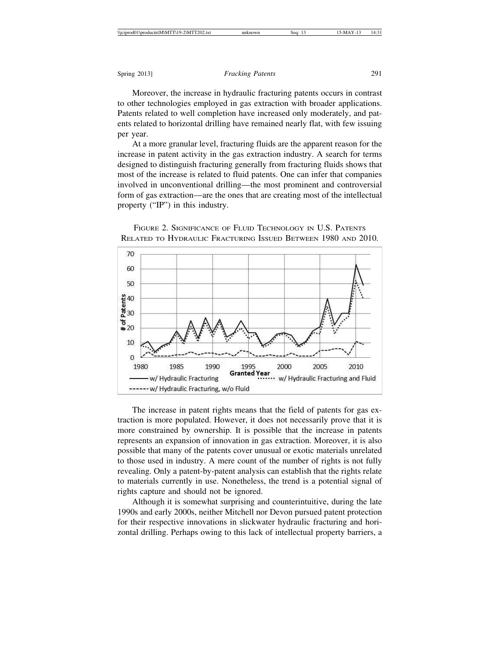Moreover, the increase in hydraulic fracturing patents occurs in contrast to other technologies employed in gas extraction with broader applications. Patents related to well completion have increased only moderately, and patents related to horizontal drilling have remained nearly flat, with few issuing per year.

At a more granular level, fracturing fluids are the apparent reason for the increase in patent activity in the gas extraction industry. A search for terms designed to distinguish fracturing generally from fracturing fluids shows that most of the increase is related to fluid patents. One can infer that companies involved in unconventional drilling—the most prominent and controversial form of gas extraction—are the ones that are creating most of the intellectual property ("IP") in this industry.



FIGURE 2. SIGNIFICANCE OF FLUID TECHNOLOGY IN U.S. PATENTS RELATED TO HYDRAULIC FRACTURING ISSUED BETWEEN 1980 AND 2010.

The increase in patent rights means that the field of patents for gas extraction is more populated. However, it does not necessarily prove that it is more constrained by ownership. It is possible that the increase in patents represents an expansion of innovation in gas extraction. Moreover, it is also possible that many of the patents cover unusual or exotic materials unrelated to those used in industry. A mere count of the number of rights is not fully revealing. Only a patent-by-patent analysis can establish that the rights relate to materials currently in use. Nonetheless, the trend is a potential signal of rights capture and should not be ignored.

Although it is somewhat surprising and counterintuitive, during the late 1990s and early 2000s, neither Mitchell nor Devon pursued patent protection for their respective innovations in slickwater hydraulic fracturing and horizontal drilling. Perhaps owing to this lack of intellectual property barriers, a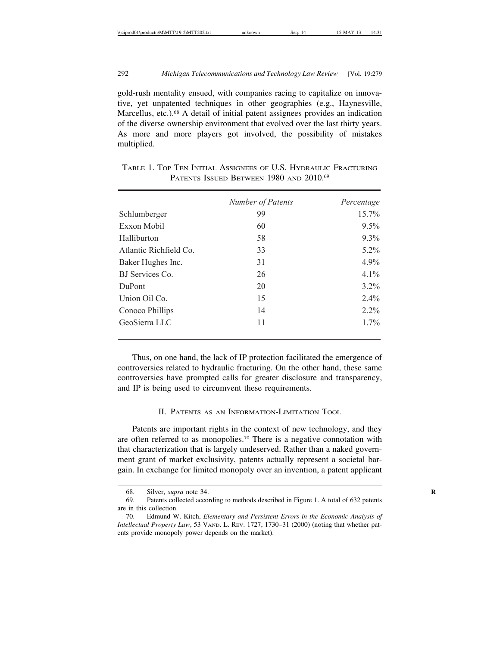gold-rush mentality ensued, with companies racing to capitalize on innovative, yet unpatented techniques in other geographies (e.g., Haynesville, Marcellus, etc.).<sup>68</sup> A detail of initial patent assignees provides an indication of the diverse ownership environment that evolved over the last thirty years. As more and more players got involved, the possibility of mistakes multiplied.

|                        | Number of Patents | Percentage |
|------------------------|-------------------|------------|
| Schlumberger           | 99                | 15.7%      |
| Exxon Mobil            | 60                | 9.5%       |
| Halliburton            | 58                | $9.3\%$    |
| Atlantic Richfield Co. | 33                | $5.2\%$    |
| Baker Hughes Inc.      | 31                | 4.9%       |
| BJ Services Co.        | 26                | $4.1\%$    |
| <b>DuPont</b>          | 20                | $3.2\%$    |
| Union Oil Co.          | 15                | 2.4%       |
| Conoco Phillips        | 14                | $2.2\%$    |
| GeoSierra LLC          | 11                | $1.7\%$    |

TABLE 1. TOP TEN INITIAL ASSIGNEES OF U.S. HYDRAULIC FRACTURING PATENTS ISSUED BETWEEN 1980 AND 2010.<sup>69</sup>

Thus, on one hand, the lack of IP protection facilitated the emergence of controversies related to hydraulic fracturing. On the other hand, these same controversies have prompted calls for greater disclosure and transparency, and IP is being used to circumvent these requirements.

## II. PATENTS AS AN INFORMATION-LIMITATION TOOL

Patents are important rights in the context of new technology, and they are often referred to as monopolies.70 There is a negative connotation with that characterization that is largely undeserved. Rather than a naked government grant of market exclusivity, patents actually represent a societal bargain. In exchange for limited monopoly over an invention, a patent applicant

<sup>68.</sup> Silver, *supra* note 34. **R**

<sup>69.</sup> Patents collected according to methods described in Figure 1. A total of 632 patents are in this collection.

<sup>70.</sup> Edmund W. Kitch, *Elementary and Persistent Errors in the Economic Analysis of Intellectual Property Law*, 53 VAND. L. REV. 1727, 1730–31 (2000) (noting that whether patents provide monopoly power depends on the market).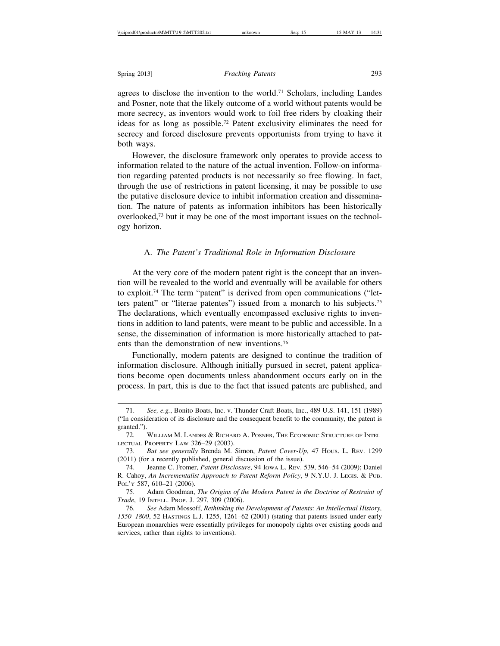agrees to disclose the invention to the world.71 Scholars, including Landes and Posner, note that the likely outcome of a world without patents would be more secrecy, as inventors would work to foil free riders by cloaking their ideas for as long as possible.72 Patent exclusivity eliminates the need for secrecy and forced disclosure prevents opportunists from trying to have it both ways.

However, the disclosure framework only operates to provide access to information related to the nature of the actual invention. Follow-on information regarding patented products is not necessarily so free flowing. In fact, through the use of restrictions in patent licensing, it may be possible to use the putative disclosure device to inhibit information creation and dissemination. The nature of patents as information inhibitors has been historically overlooked,73 but it may be one of the most important issues on the technology horizon.

## A. *The Patent's Traditional Role in Information Disclosure*

At the very core of the modern patent right is the concept that an invention will be revealed to the world and eventually will be available for others to exploit.74 The term "patent" is derived from open communications ("letters patent" or "literae patentes") issued from a monarch to his subjects.75 The declarations, which eventually encompassed exclusive rights to inventions in addition to land patents, were meant to be public and accessible. In a sense, the dissemination of information is more historically attached to patents than the demonstration of new inventions.<sup>76</sup>

Functionally, modern patents are designed to continue the tradition of information disclosure. Although initially pursued in secret, patent applications become open documents unless abandonment occurs early on in the process. In part, this is due to the fact that issued patents are published, and

<sup>71.</sup> *See, e.g.*, Bonito Boats, Inc. v. Thunder Craft Boats, Inc., 489 U.S. 141, 151 (1989) ("In consideration of its disclosure and the consequent benefit to the community, the patent is granted.").

<sup>72.</sup> WILLIAM M. LANDES & RICHARD A. POSNER, THE ECONOMIC STRUCTURE OF INTEL-LECTUAL PROPERTY LAW 326-29 (2003).

<sup>73.</sup> *But see generally* Brenda M. Simon, *Patent Cover-Up*, 47 HOUS. L. REV. 1299 (2011) (for a recently published, general discussion of the issue).

<sup>74.</sup> Jeanne C. Fromer, *Patent Disclosure*, 94 IOWA L. REV. 539, 546–54 (2009); Daniel R. Cahoy, *An Incrementalist Approach to Patent Reform Policy*, 9 N.Y.U. J. LEGIS. & PUB. Pol'y 587, 610-21 (2006).

<sup>75.</sup> Adam Goodman, *The Origins of the Modern Patent in the Doctrine of Restraint of Trade*, 19 INTELL. PROP. J. 297, 309 (2006).

<sup>76.</sup> *See* Adam Mossoff, *Rethinking the Development of Patents: An Intellectual History, 1550–1800*, 52 HASTINGS L.J. 1255, 1261–62 (2001) (stating that patents issued under early European monarchies were essentially privileges for monopoly rights over existing goods and services, rather than rights to inventions).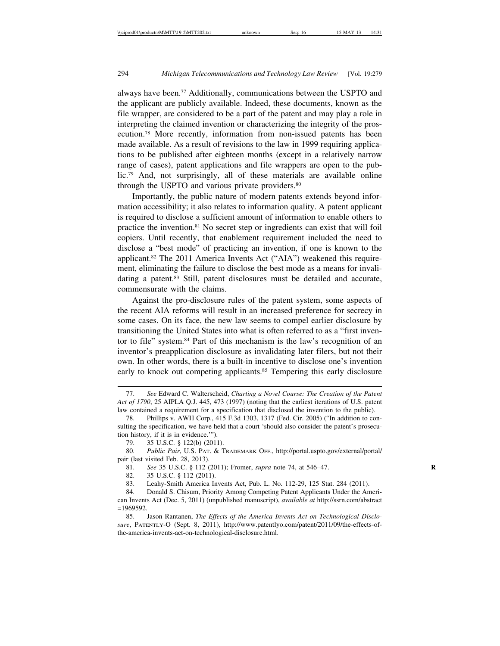always have been.77 Additionally, communications between the USPTO and the applicant are publicly available. Indeed, these documents, known as the file wrapper, are considered to be a part of the patent and may play a role in interpreting the claimed invention or characterizing the integrity of the prosecution.78 More recently, information from non-issued patents has been made available. As a result of revisions to the law in 1999 requiring applications to be published after eighteen months (except in a relatively narrow range of cases), patent applications and file wrappers are open to the public.79 And, not surprisingly, all of these materials are available online through the USPTO and various private providers.<sup>80</sup>

Importantly, the public nature of modern patents extends beyond information accessibility; it also relates to information quality. A patent applicant is required to disclose a sufficient amount of information to enable others to practice the invention.<sup>81</sup> No secret step or ingredients can exist that will foil copiers. Until recently, that enablement requirement included the need to disclose a "best mode" of practicing an invention, if one is known to the applicant.<sup>82</sup> The 2011 America Invents Act ("AIA") weakened this requirement, eliminating the failure to disclose the best mode as a means for invalidating a patent.<sup>83</sup> Still, patent disclosures must be detailed and accurate, commensurate with the claims.

Against the pro-disclosure rules of the patent system, some aspects of the recent AIA reforms will result in an increased preference for secrecy in some cases. On its face, the new law seems to compel earlier disclosure by transitioning the United States into what is often referred to as a "first inventor to file" system.84 Part of this mechanism is the law's recognition of an inventor's preapplication disclosure as invalidating later filers, but not their own. In other words, there is a built-in incentive to disclose one's invention early to knock out competing applicants.<sup>85</sup> Tempering this early disclosure

82. 35 U.S.C. § 112 (2011).

<sup>77.</sup> *See* Edward C. Walterscheid, *Charting a Novel Course: The Creation of the Patent Act of 1790*, 25 AIPLA Q.J. 445, 473 (1997) (noting that the earliest iterations of U.S. patent law contained a requirement for a specification that disclosed the invention to the public).

<sup>78.</sup> Phillips v. AWH Corp., 415 F.3d 1303, 1317 (Fed. Cir. 2005) ("In addition to consulting the specification, we have held that a court 'should also consider the patent's prosecution history, if it is in evidence.'").

<sup>79. 35</sup> U.S.C. § 122(b) (2011).

<sup>80.</sup> *Public Pair*, U.S. PAT. & TRADEMARK OFF., http://portal.uspto.gov/external/portal/ pair (last visited Feb. 28, 2013).

<sup>81.</sup> *See* 35 U.S.C. § 112 (2011); Fromer, *supra* note 74, at 546–47. **R**

<sup>83.</sup> Leahy-Smith America Invents Act, Pub. L. No. 112-29, 125 Stat. 284 (2011).

<sup>84.</sup> Donald S. Chisum, Priority Among Competing Patent Applicants Under the American Invents Act (Dec. 5, 2011) (unpublished manuscript), *available at* http://ssrn.com/abstract =1969592.

<sup>85.</sup> Jason Rantanen, *The Effects of the America Invents Act on Technological Disclosure*, PATENTLY-O (Sept. 8, 2011), http://www.patentlyo.com/patent/2011/09/the-effects-ofthe-america-invents-act-on-technological-disclosure.html.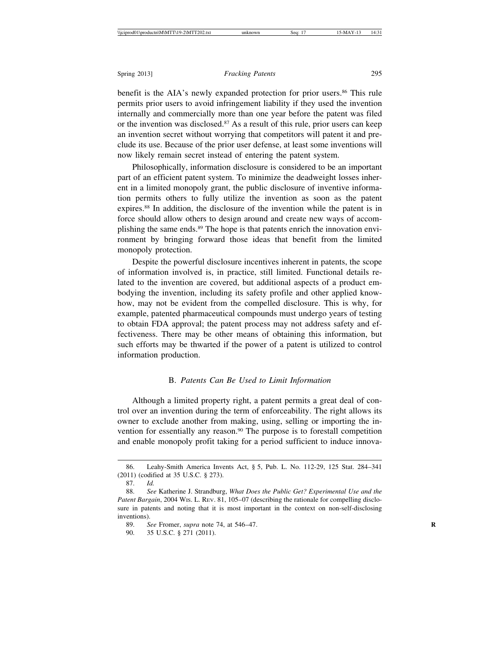benefit is the AIA's newly expanded protection for prior users.<sup>86</sup> This rule permits prior users to avoid infringement liability if they used the invention internally and commercially more than one year before the patent was filed or the invention was disclosed.87 As a result of this rule, prior users can keep an invention secret without worrying that competitors will patent it and preclude its use. Because of the prior user defense, at least some inventions will now likely remain secret instead of entering the patent system.

Philosophically, information disclosure is considered to be an important part of an efficient patent system. To minimize the deadweight losses inherent in a limited monopoly grant, the public disclosure of inventive information permits others to fully utilize the invention as soon as the patent expires.88 In addition, the disclosure of the invention while the patent is in force should allow others to design around and create new ways of accomplishing the same ends.89 The hope is that patents enrich the innovation environment by bringing forward those ideas that benefit from the limited monopoly protection.

Despite the powerful disclosure incentives inherent in patents, the scope of information involved is, in practice, still limited. Functional details related to the invention are covered, but additional aspects of a product embodying the invention, including its safety profile and other applied knowhow, may not be evident from the compelled disclosure. This is why, for example, patented pharmaceutical compounds must undergo years of testing to obtain FDA approval; the patent process may not address safety and effectiveness. There may be other means of obtaining this information, but such efforts may be thwarted if the power of a patent is utilized to control information production.

#### B. *Patents Can Be Used to Limit Information*

Although a limited property right, a patent permits a great deal of control over an invention during the term of enforceability. The right allows its owner to exclude another from making, using, selling or importing the invention for essentially any reason.<sup>90</sup> The purpose is to forestall competition and enable monopoly profit taking for a period sufficient to induce innova-

<sup>86.</sup> Leahy-Smith America Invents Act, § 5, Pub. L. No. 112-29, 125 Stat. 284–341 (2011) (codified at 35 U.S.C. § 273).

<sup>87.</sup> *Id.*

<sup>88.</sup> *See* Katherine J. Strandburg, *What Does the Public Get? Experimental Use and the Patent Bargain*, 2004 WIS. L. REV. 81, 105–07 (describing the rationale for compelling disclosure in patents and noting that it is most important in the context on non-self-disclosing inventions).

<sup>89.</sup> *See* Fromer, *supra* note 74, at 546–47. **R**

<sup>90. 35</sup> U.S.C. § 271 (2011).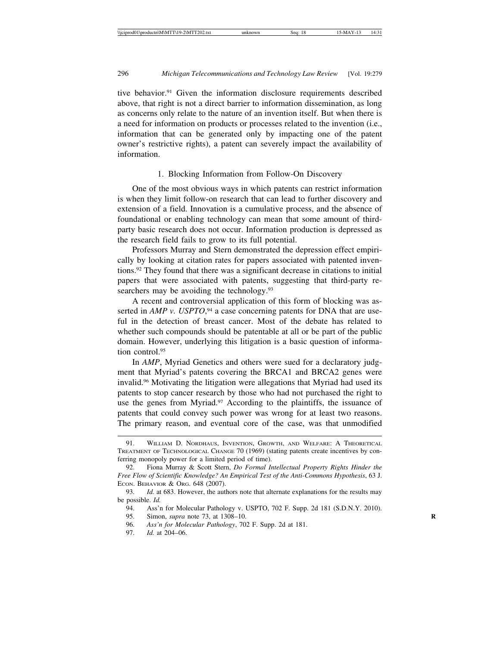tive behavior.91 Given the information disclosure requirements described above, that right is not a direct barrier to information dissemination, as long as concerns only relate to the nature of an invention itself. But when there is a need for information on products or processes related to the invention (i.e., information that can be generated only by impacting one of the patent owner's restrictive rights), a patent can severely impact the availability of information.

#### 1. Blocking Information from Follow-On Discovery

One of the most obvious ways in which patents can restrict information is when they limit follow-on research that can lead to further discovery and extension of a field. Innovation is a cumulative process, and the absence of foundational or enabling technology can mean that some amount of thirdparty basic research does not occur. Information production is depressed as the research field fails to grow to its full potential.

Professors Murray and Stern demonstrated the depression effect empirically by looking at citation rates for papers associated with patented inventions.92 They found that there was a significant decrease in citations to initial papers that were associated with patents, suggesting that third-party researchers may be avoiding the technology.<sup>93</sup>

A recent and controversial application of this form of blocking was asserted in *AMP v. USPTO*,<sup>94</sup> a case concerning patents for DNA that are useful in the detection of breast cancer. Most of the debate has related to whether such compounds should be patentable at all or be part of the public domain. However, underlying this litigation is a basic question of information control.<sup>95</sup>

In *AMP*, Myriad Genetics and others were sued for a declaratory judgment that Myriad's patents covering the BRCA1 and BRCA2 genes were invalid.96 Motivating the litigation were allegations that Myriad had used its patents to stop cancer research by those who had not purchased the right to use the genes from Myriad.<sup>97</sup> According to the plaintiffs, the issuance of patents that could convey such power was wrong for at least two reasons. The primary reason, and eventual core of the case, was that unmodified

<sup>91.</sup> WILLIAM D. NORDHAUS, INVENTION, GROWTH, AND WELFARE: A THEORETICAL TREATMENT OF TECHNOLOGICAL CHANGE 70 (1969) (stating patents create incentives by conferring monopoly power for a limited period of time).

<sup>92.</sup> Fiona Murray & Scott Stern, *Do Formal Intellectual Property Rights Hinder the Free Flow of Scientific Knowledge? An Empirical Test of the Anti-Commons Hypothesis*, 63 J. ECON. BEHAVIOR & ORG. 648 (2007).

<sup>93.</sup> *Id.* at 683. However, the authors note that alternate explanations for the results may be possible. *Id.*

<sup>94.</sup> Ass'n for Molecular Pathology v. USPTO, 702 F. Supp. 2d 181 (S.D.N.Y. 2010).

<sup>95.</sup> Simon, *supra* note 73, at 1308–10. **R**

<sup>96.</sup> *Ass'n for Molecular Pathology*, 702 F. Supp. 2d at 181.

<sup>97.</sup> *Id.* at 204–06.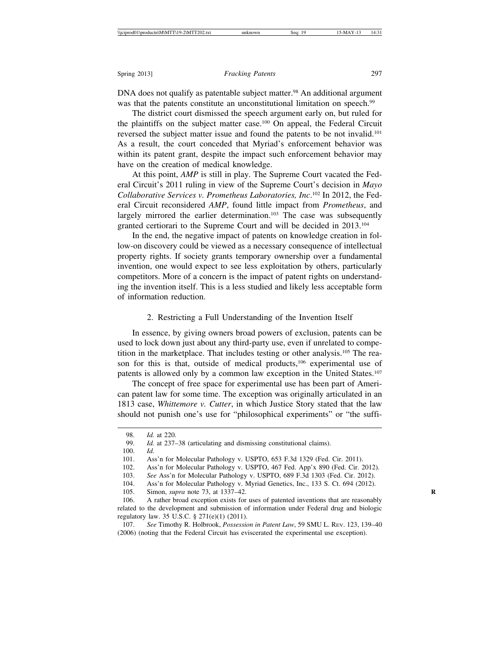DNA does not qualify as patentable subject matter.<sup>98</sup> An additional argument was that the patents constitute an unconstitutional limitation on speech.<sup>99</sup>

The district court dismissed the speech argument early on, but ruled for the plaintiffs on the subject matter case.100 On appeal, the Federal Circuit reversed the subject matter issue and found the patents to be not invalid.101 As a result, the court conceded that Myriad's enforcement behavior was within its patent grant, despite the impact such enforcement behavior may have on the creation of medical knowledge.

At this point, *AMP* is still in play. The Supreme Court vacated the Federal Circuit's 2011 ruling in view of the Supreme Court's decision in *Mayo Collaborative Services v. Prometheus Laboratories, Inc*. 102 In 2012, the Federal Circuit reconsidered *AMP*, found little impact from *Prometheus*, and largely mirrored the earlier determination.<sup>103</sup> The case was subsequently granted certiorari to the Supreme Court and will be decided in 2013.104

In the end, the negative impact of patents on knowledge creation in follow-on discovery could be viewed as a necessary consequence of intellectual property rights. If society grants temporary ownership over a fundamental invention, one would expect to see less exploitation by others, particularly competitors. More of a concern is the impact of patent rights on understanding the invention itself. This is a less studied and likely less acceptable form of information reduction.

## 2. Restricting a Full Understanding of the Invention Itself

In essence, by giving owners broad powers of exclusion, patents can be used to lock down just about any third-party use, even if unrelated to competition in the marketplace. That includes testing or other analysis.105 The reason for this is that, outside of medical products,<sup>106</sup> experimental use of patents is allowed only by a common law exception in the United States.107

The concept of free space for experimental use has been part of American patent law for some time. The exception was originally articulated in an 1813 case, *Whittemore v. Cutter*, in which Justice Story stated that the law should not punish one's use for "philosophical experiments" or "the suffi-

100. *Id.*

105. Simon, *supra* note 73, at 1337–42. **R**

106. A rather broad exception exists for uses of patented inventions that are reasonably related to the development and submission of information under Federal drug and biologic regulatory law. 35 U.S.C. § 271(e)(1) (2011).

107. *See* Timothy R. Holbrook, *Possession in Patent Law*, 59 SMU L. REV. 123, 139–40 (2006) (noting that the Federal Circuit has eviscerated the experimental use exception).

<sup>98.</sup> *Id.* at 220.

<sup>99.</sup> *Id.* at 237–38 (articulating and dismissing constitutional claims).

<sup>101.</sup> Ass'n for Molecular Pathology v. USPTO, 653 F.3d 1329 (Fed. Cir. 2011).

<sup>102.</sup> Ass'n for Molecular Pathology v. USPTO, 467 Fed. App'x 890 (Fed. Cir. 2012).

<sup>103.</sup> *See* Ass'n for Molecular Pathology v. USPTO, 689 F.3d 1303 (Fed. Cir. 2012).

<sup>104.</sup> Ass'n for Molecular Pathology v. Myriad Genetics, Inc., 133 S. Ct. 694 (2012).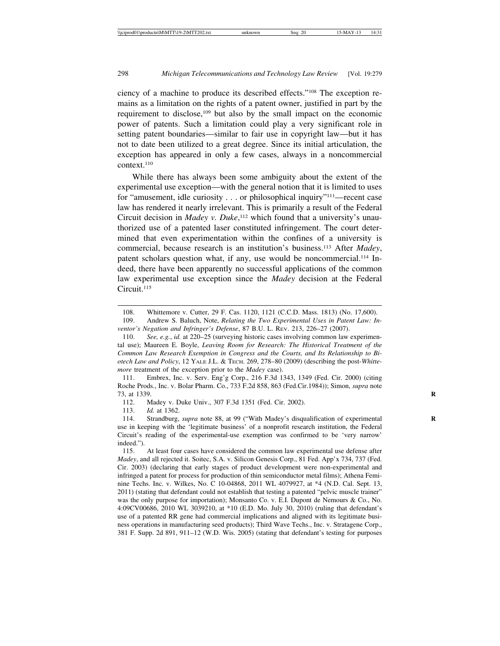ciency of a machine to produce its described effects."108 The exception remains as a limitation on the rights of a patent owner, justified in part by the requirement to disclose,109 but also by the small impact on the economic power of patents. Such a limitation could play a very significant role in setting patent boundaries—similar to fair use in copyright law—but it has not to date been utilized to a great degree. Since its initial articulation, the exception has appeared in only a few cases, always in a noncommercial context.110

While there has always been some ambiguity about the extent of the experimental use exception—with the general notion that it is limited to uses for "amusement, idle curiosity . . . or philosophical inquiry"111—recent case law has rendered it nearly irrelevant. This is primarily a result of the Federal Circuit decision in *Madey v. Duke*, 112 which found that a university's unauthorized use of a patented laser constituted infringement. The court determined that even experimentation within the confines of a university is commercial, because research is an institution's business.113 After *Madey*, patent scholars question what, if any, use would be noncommercial.<sup>114</sup> Indeed, there have been apparently no successful applications of the common law experimental use exception since the *Madey* decision at the Federal Circuit.<sup>115</sup>

112. Madey v. Duke Univ., 307 F.3d 1351 (Fed. Cir. 2002).

113. *Id.* at 1362.

<sup>108.</sup> Whittemore v. Cutter, 29 F. Cas. 1120, 1121 (C.C.D. Mass. 1813) (No. 17,600).

<sup>109.</sup> Andrew S. Baluch, Note, *Relating the Two Experimental Uses in Patent Law: Inventor's Negation and Infringer's Defense*, 87 B.U. L. REV. 213, 226–27 (2007).

<sup>110.</sup> *See, e.g.*, *id.* at 220–25 (surveying historic cases involving common law experimental use); Maureen E. Boyle, *Leaving Room for Research: The Historical Treatment of the Common Law Research Exemption in Congress and the Courts, and Its Relationship to Biotech Law and Policy*, 12 YALE J.L. & TECH. 269, 278–80 (2009) (describing the post-*Whittemore* treatment of the exception prior to the *Madey* case).

<sup>111.</sup> Embrex, Inc. v. Serv. Eng'g Corp., 216 F.3d 1343, 1349 (Fed. Cir. 2000) (citing Roche Prods., Inc. v. Bolar Pharm. Co., 733 F.2d 858, 863 (Fed.Cir.1984)); Simon, *supra* note 73, at 1339. **R**

<sup>114.</sup> Strandburg, *supra* note 88, at 99 ("With Madey's disqualification of experimental **R** use in keeping with the 'legitimate business' of a nonprofit research institution, the Federal Circuit's reading of the experimental-use exemption was confirmed to be 'very narrow' indeed.").<br> $115$ .

At least four cases have considered the common law experimental use defense after *Madey*, and all rejected it. Soitec, S.A. v. Silicon Genesis Corp., 81 Fed. App'x 734, 737 (Fed. Cir. 2003) (declaring that early stages of product development were non-experimental and infringed a patent for process for production of thin semiconductor metal films); Athena Feminine Techs. Inc. v. Wilkes, No. C 10-04868, 2011 WL 4079927, at \*4 (N.D. Cal. Sept. 13, 2011) (stating that defendant could not establish that testing a patented "pelvic muscle trainer" was the only purpose for importation); Monsanto Co. v. E.I. Dupont de Nemours & Co., No. 4:09CV00686, 2010 WL 3039210, at \*10 (E.D. Mo. July 30, 2010) (ruling that defendant's use of a patented RR gene had commercial implications and aligned with its legitimate business operations in manufacturing seed products); Third Wave Techs., Inc. v. Stratagene Corp., 381 F. Supp. 2d 891, 911–12 (W.D. Wis. 2005) (stating that defendant's testing for purposes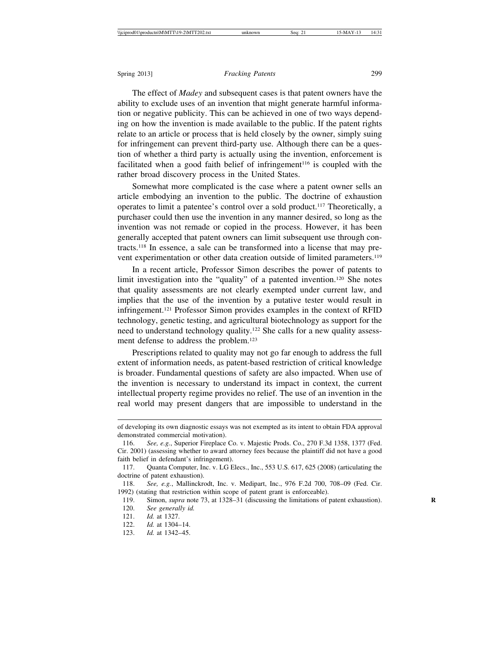The effect of *Madey* and subsequent cases is that patent owners have the ability to exclude uses of an invention that might generate harmful information or negative publicity. This can be achieved in one of two ways depending on how the invention is made available to the public. If the patent rights relate to an article or process that is held closely by the owner, simply suing for infringement can prevent third-party use. Although there can be a question of whether a third party is actually using the invention, enforcement is facilitated when a good faith belief of infringement $116$  is coupled with the rather broad discovery process in the United States.

Somewhat more complicated is the case where a patent owner sells an article embodying an invention to the public. The doctrine of exhaustion operates to limit a patentee's control over a sold product.117 Theoretically, a purchaser could then use the invention in any manner desired, so long as the invention was not remade or copied in the process. However, it has been generally accepted that patent owners can limit subsequent use through contracts.118 In essence, a sale can be transformed into a license that may prevent experimentation or other data creation outside of limited parameters.<sup>119</sup>

In a recent article, Professor Simon describes the power of patents to limit investigation into the "quality" of a patented invention.<sup>120</sup> She notes that quality assessments are not clearly exempted under current law, and implies that the use of the invention by a putative tester would result in infringement.121 Professor Simon provides examples in the context of RFID technology, genetic testing, and agricultural biotechnology as support for the need to understand technology quality.122 She calls for a new quality assessment defense to address the problem.123

Prescriptions related to quality may not go far enough to address the full extent of information needs, as patent-based restriction of critical knowledge is broader. Fundamental questions of safety are also impacted. When use of the invention is necessary to understand its impact in context, the current intellectual property regime provides no relief. The use of an invention in the real world may present dangers that are impossible to understand in the

of developing its own diagnostic essays was not exempted as its intent to obtain FDA approval demonstrated commercial motivation).

<sup>116.</sup> *See, e.g.*, Superior Fireplace Co. v. Majestic Prods. Co., 270 F.3d 1358, 1377 (Fed. Cir. 2001) (assessing whether to award attorney fees because the plaintiff did not have a good faith belief in defendant's infringement).

<sup>117.</sup> Quanta Computer, Inc. v. LG Elecs., Inc., 553 U.S. 617, 625 (2008) (articulating the doctrine of patent exhaustion).

<sup>118.</sup> *See, e.g.*, Mallinckrodt, Inc. v. Medipart, Inc., 976 F.2d 700, 708–09 (Fed. Cir. 1992) (stating that restriction within scope of patent grant is enforceable).

<sup>119.</sup> Simon, *supra* note 73, at 1328–31 (discussing the limitations of patent exhaustion). **R**

<sup>120.</sup> *See generally id.*

<sup>121.</sup> *Id.* at 1327.

<sup>122.</sup> *Id.* at 1304–14.

<sup>123.</sup> *Id.* at 1342–45.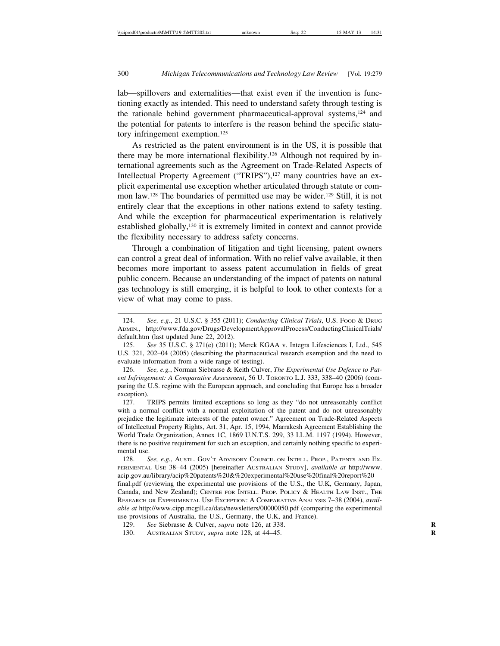lab—spillovers and externalities—that exist even if the invention is functioning exactly as intended. This need to understand safety through testing is the rationale behind government pharmaceutical-approval systems,<sup>124</sup> and the potential for patents to interfere is the reason behind the specific statutory infringement exemption.125

As restricted as the patent environment is in the US, it is possible that there may be more international flexibility.126 Although not required by international agreements such as the Agreement on Trade-Related Aspects of Intellectual Property Agreement ("TRIPS"),<sup>127</sup> many countries have an explicit experimental use exception whether articulated through statute or common law.128 The boundaries of permitted use may be wider.129 Still, it is not entirely clear that the exceptions in other nations extend to safety testing. And while the exception for pharmaceutical experimentation is relatively established globally,<sup>130</sup> it is extremely limited in context and cannot provide the flexibility necessary to address safety concerns.

Through a combination of litigation and tight licensing, patent owners can control a great deal of information. With no relief valve available, it then becomes more important to assess patent accumulation in fields of great public concern. Because an understanding of the impact of patents on natural gas technology is still emerging, it is helpful to look to other contexts for a view of what may come to pass.

126. *See, e.g.*, Norman Siebrasse & Keith Culver, *The Experimental Use Defence to Patent Infringement: A Comparative Assessment*, 56 U. TORONTO L.J. 333, 338–40 (2006) (comparing the U.S. regime with the European approach, and concluding that Europe has a broader exception).

127. TRIPS permits limited exceptions so long as they "do not unreasonably conflict with a normal conflict with a normal exploitation of the patent and do not unreasonably prejudice the legitimate interests of the patent owner." Agreement on Trade-Related Aspects of Intellectual Property Rights, Art. 31, Apr. 15, 1994, Marrakesh Agreement Establishing the World Trade Organization, Annex 1C, 1869 U.N.T.S. 299, 33 I.L.M. 1197 (1994). However, there is no positive requirement for such an exception, and certainly nothing specific to experimental use.

128. *See, e.g.*, AUSTL. GOV'T ADVISORY COUNCIL ON INTELL. PROP., PATENTS AND EX-PERIMENTAL USE 38–44 (2005) [hereinafter AUSTRALIAN STUDY], *available at* http://www. acip.gov.au/library/acip%20patents%20&%20experimental%20use%20final%20report%20

final.pdf (reviewing the experimental use provisions of the U.S., the U.K, Germany, Japan, Canada, and New Zealand); CENTRE FOR INTELL. PROP. POLICY & HEALTH LAW INST., THE RESEARCH OR EXPERIMENTAL USE EXCEPTION: A COMPARATIVE ANALYSIS 7–38 (2004), *available at* http://www.cipp.mcgill.ca/data/newsletters/00000050.pdf (comparing the experimental use provisions of Australia, the U.S., Germany, the U.K, and France).

129. See Siebrasse & Culver, *supra* note 126, at 338.

130. AUSTRALIAN STUDY, *supra* note 128, at 44–45. **R**

<sup>124.</sup> *See, e.g.*, 21 U.S.C. § 355 (2011); *Conducting Clinical Trials*, U.S. FOOD & DRUG ADMIN., http://www.fda.gov/Drugs/DevelopmentApprovalProcess/ConductingClinicalTrials/ default.htm (last updated June 22, 2012).

<sup>125.</sup> *See* 35 U.S.C. § 271(e) (2011); Merck KGAA v. Integra Lifesciences I, Ltd., 545 U.S. 321, 202–04 (2005) (describing the pharmaceutical research exemption and the need to evaluate information from a wide range of testing).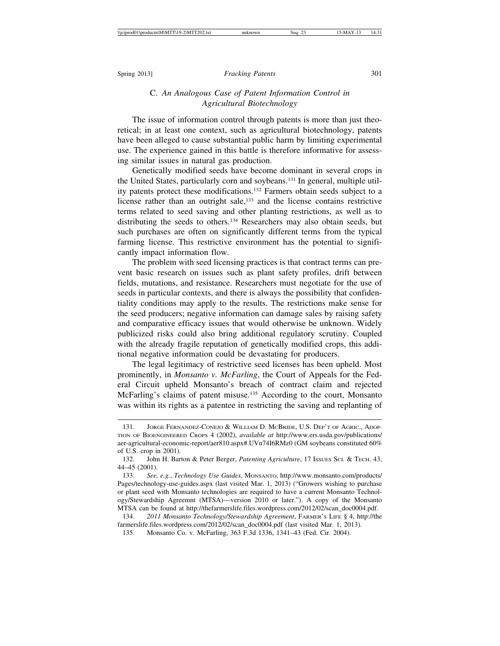#### Spring 2013] *Fracking Patents* 301

# C. *An Analogous Case of Patent Information Control in Agricultural Biotechnology*

The issue of information control through patents is more than just theoretical; in at least one context, such as agricultural biotechnology, patents have been alleged to cause substantial public harm by limiting experimental use. The experience gained in this battle is therefore informative for assessing similar issues in natural gas production.

Genetically modified seeds have become dominant in several crops in the United States, particularly corn and soybeans.131 In general, multiple utility patents protect these modifications.132 Farmers obtain seeds subject to a license rather than an outright sale,133 and the license contains restrictive terms related to seed saving and other planting restrictions, as well as to distributing the seeds to others.134 Researchers may also obtain seeds, but such purchases are often on significantly different terms from the typical farming license. This restrictive environment has the potential to significantly impact information flow.

The problem with seed licensing practices is that contract terms can prevent basic research on issues such as plant safety profiles, drift between fields, mutations, and resistance. Researchers must negotiate for the use of seeds in particular contexts, and there is always the possibility that confidentiality conditions may apply to the results. The restrictions make sense for the seed producers; negative information can damage sales by raising safety and comparative efficacy issues that would otherwise be unknown. Widely publicized risks could also bring additional regulatory scrutiny. Coupled with the already fragile reputation of genetically modified crops, this additional negative information could be devastating for producers.

The legal legitimacy of restrictive seed licenses has been upheld. Most prominently, in *Monsanto v. McFarling*, the Court of Appeals for the Federal Circuit upheld Monsanto's breach of contract claim and rejected McFarling's claims of patent misuse.135 According to the court, Monsanto was within its rights as a patentee in restricting the saving and replanting of

<sup>131.</sup> JORGE FERNANDEZ-CONEJO & WILLIAM D. MCBRIDE, U.S. DEP'T OF AGRIC., ADOP-TION OF BIOENGINEERED CROPS 4 (2002), *available at* http://www.ers.usda.gov/publications/ aer-agricultural-economic-report/aer810.aspx#.UVn74I6RMz0 (GM soybeans constituted 60% of U.S. crop in 2001).

<sup>132.</sup> John H. Barton & Peter Berger, *Patenting Agriculture*, 17 ISSUES SCI. & TECH. 43, 44–45 (2001).

<sup>133.</sup> *See, e.g.*, *Technology Use Guides*, MONSANTO, http://www.monsanto.com/products/ Pages/technology-use-guides.aspx (last visited Mar. 1, 2013) ("Growers wishing to purchase or plant seed with Monsanto technologies are required to have a current Monsanto Technology/Stewardship Agreemnt (MTSA)—version 2010 or later."). A copy of the Monsanto MTSA can be found at http://thefarmerslife.files.wordpress.com/2012/02/scan\_doc0004.pdf.

<sup>134.</sup> *2011 Monsanto Technology/Stewardship Agreement*, FARMER'S LIFE § 4, http://the farmerslife.files.wordpress.com/2012/02/scan\_doc0004.pdf (last visited Mar. 1, 2013).

<sup>135.</sup> Monsanto Co. v. McFarling, 363 F.3d 1336, 1341–43 (Fed. Cir. 2004).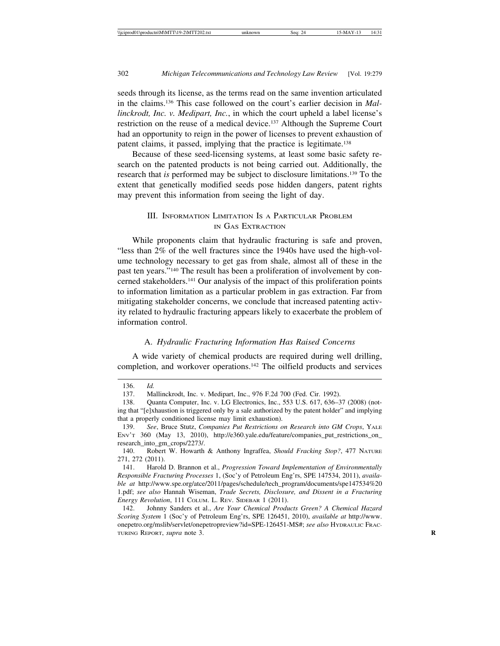seeds through its license, as the terms read on the same invention articulated in the claims.136 This case followed on the court's earlier decision in *Mallinckrodt, Inc. v. Medipart, Inc.*, in which the court upheld a label license's restriction on the reuse of a medical device.<sup>137</sup> Although the Supreme Court had an opportunity to reign in the power of licenses to prevent exhaustion of patent claims, it passed, implying that the practice is legitimate.138

Because of these seed-licensing systems, at least some basic safety research on the patented products is not being carried out. Additionally, the research that *is* performed may be subject to disclosure limitations.139 To the extent that genetically modified seeds pose hidden dangers, patent rights may prevent this information from seeing the light of day.

# III. INFORMATION LIMITATION IS A PARTICULAR PROBLEM IN GAS EXTRACTION

While proponents claim that hydraulic fracturing is safe and proven, "less than 2% of the well fractures since the 1940s have used the high-volume technology necessary to get gas from shale, almost all of these in the past ten years."140 The result has been a proliferation of involvement by concerned stakeholders.141 Our analysis of the impact of this proliferation points to information limitation as a particular problem in gas extraction. Far from mitigating stakeholder concerns, we conclude that increased patenting activity related to hydraulic fracturing appears likely to exacerbate the problem of information control.

## A. *Hydraulic Fracturing Information Has Raised Concerns*

A wide variety of chemical products are required during well drilling, completion, and workover operations.142 The oilfield products and services

<sup>136.</sup> *Id.*

<sup>137.</sup> Mallinckrodt, Inc. v. Medipart, Inc., 976 F.2d 700 (Fed. Cir. 1992).

<sup>138.</sup> Quanta Computer, Inc. v. LG Electronics, Inc., 553 U.S. 617, 636–37 (2008) (noting that "[e]xhaustion is triggered only by a sale authorized by the patent holder" and implying that a properly conditioned license may limit exhaustion).

<sup>139.</sup> *See*, Bruce Stutz, *Companies Put Restrictions on Research into GM Crops*, YALE ENV'T 360 (May 13, 2010), http://e360.yale.edu/feature/companies\_put\_restrictions\_on\_ research\_into\_gm\_crops/2273/.

<sup>140.</sup> Robert W. Howarth & Anthony Ingraffea, *Should Fracking Stop?*, 477 NATURE 271, 272 (2011).

<sup>141.</sup> Harold D. Brannon et al., *Progression Toward Implementation of Environmentally Responsible Fracturing Processes* 1, (Soc'y of Petroleum Eng'rs, SPE 147534, 2011), *available at* http://www.spe.org/atce/2011/pages/schedule/tech\_program/documents/spe147534%20 1.pdf; *see also* Hannah Wiseman, *Trade Secrets, Disclosure, and Dissent in a Fracturing Energy Revolution*, 111 COLUM. L. REV. SIDEBAR 1 (2011).

<sup>142.</sup> Johnny Sanders et al., *Are Your Chemical Products Green? A Chemical Hazard Scoring System* 1 (Soc'y of Petroleum Eng'rs, SPE 126451, 2010), *available at* http://www. onepetro.org/mslib/servlet/onepetropreview?id=SPE-126451-MS#; *see also* HYDRAULIC FRAC-TURING REPORT, *supra* note 3. **R**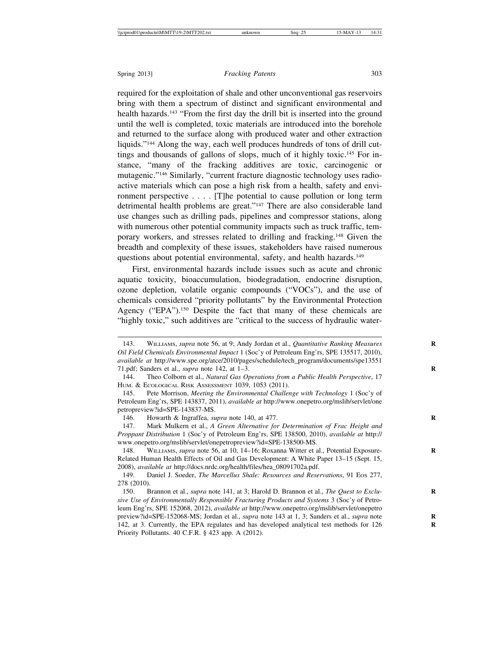required for the exploitation of shale and other unconventional gas reservoirs bring with them a spectrum of distinct and significant environmental and health hazards.<sup>143</sup> "From the first day the drill bit is inserted into the ground until the well is completed, toxic materials are introduced into the borehole and returned to the surface along with produced water and other extraction liquids."144 Along the way, each well produces hundreds of tons of drill cuttings and thousands of gallons of slops, much of it highly toxic.<sup>145</sup> For instance, "many of the fracking additives are toxic, carcinogenic or mutagenic."146 Similarly, "current fracture diagnostic technology uses radioactive materials which can pose a high risk from a health, safety and environment perspective . . . . [T]he potential to cause pollution or long term detrimental health problems are great."147 There are also considerable land use changes such as drilling pads, pipelines and compressor stations, along with numerous other potential community impacts such as truck traffic, temporary workers, and stresses related to drilling and fracking.148 Given the breadth and complexity of these issues, stakeholders have raised numerous questions about potential environmental, safety, and health hazards.<sup>149</sup>

First, environmental hazards include issues such as acute and chronic aquatic toxicity, bioaccumulation, biodegradation, endocrine disruption, ozone depletion, volatile organic compounds ("VOCs"), and the use of chemicals considered "priority pollutants" by the Environmental Protection Agency ("EPA").<sup>150</sup> Despite the fact that many of these chemicals are "highly toxic," such additives are "critical to the success of hydraulic water-

<sup>143.</sup> WILLIAMS, *supra* note 56, at 9; Andy Jordan et al., *Quantitative Ranking Measures* **R** *Oil Field Chemicals Environmental Impact* 1 (Soc'y of Petroleum Eng'rs, SPE 135517, 2010), *available at* http://www.spe.org/atce/2010/pages/schedule/tech\_program/documents/spe13551 71.pdf; Sanders et al., *supra* note 142, at 1–3. **R**

<sup>144.</sup> Theo Colborn et al., *Natural Gas Operations from a Public Health Perspective*, 17 HUM. & ECOLOGICAL RISK ASSESSMENT 1039, 1053 (2011).

<sup>145.</sup> Pete Morrison, *Meeting the Environmental Challenge with Technology* 1 (Soc'y of Petroleum Eng'rs, SPE 143837, 2011), *available at* http://www.onepetro.org/mslib/servlet/one petropreview?id=SPE-143837-MS.

<sup>146.</sup> Howarth & Ingraffea, *supra* note 140, at 477. **R**

<sup>147.</sup> Mark Mulkern et al., *A Green Alternative for Determination of Frac Height and Proppant Distribution* 1 (Soc'y of Petroleum Eng'rs, SPE 138500, 2010), *available at* http:// www.onepetro.org/mslib/servlet/onepetropreview?id=SPE-138500-MS.

<sup>148.</sup> WILLIAMS, *supra* note 56, at 10, 14–16; Roxanna Witter et al., Potential Exposure- **R** Related Human Health Effects of Oil and Gas Development: A White Paper 13–15 (Sept. 15, 2008), *available at* http://docs.nrdc.org/health/files/hea\_08091702a.pdf.

<sup>149.</sup> Daniel J. Soeder, *The Marcellus Shale: Resources and Reservations*, 91 Eos 277, 278 (2010).

<sup>150.</sup> Brannon et al., *supra* note 141, at 3; Harold D. Brannon et al., *The Quest to Exclusive Use of Environmentally Responsible Fracturing Products and Systems* 3 (Soc'y of Petroleum Eng'rs, SPE 152068, 2012), *available at* http://www.onepetro.org/mslib/servlet/onepetro preview?id=SPE-152068-MS; Jordan et al., *supra* note 143 at 1, 3; Sanders et al., *supra* note 142, at 3. Currently, the EPA regulates and has developed analytical test methods for 126 **R** Priority Pollutants. 40 C.F.R. § 423 app. A (2012).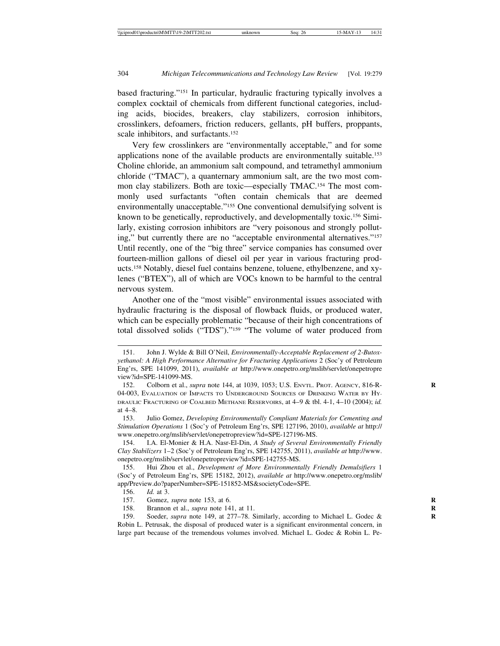based fracturing."151 In particular, hydraulic fracturing typically involves a complex cocktail of chemicals from different functional categories, including acids, biocides, breakers, clay stabilizers, corrosion inhibitors, crosslinkers, defoamers, friction reducers, gellants, pH buffers, proppants, scale inhibitors, and surfactants.<sup>152</sup>

Very few crosslinkers are "environmentally acceptable," and for some applications none of the available products are environmentally suitable.153 Choline chloride, an ammonium salt compound, and tetramethyl ammonium chloride ("TMAC"), a quanternary ammonium salt, are the two most common clay stabilizers. Both are toxic—especially TMAC.154 The most commonly used surfactants "often contain chemicals that are deemed environmentally unacceptable."<sup>155</sup> One conventional demulsifying solvent is known to be genetically, reproductively, and developmentally toxic.156 Similarly, existing corrosion inhibitors are "very poisonous and strongly polluting," but currently there are no "acceptable environmental alternatives."157 Until recently, one of the "big three" service companies has consumed over fourteen-million gallons of diesel oil per year in various fracturing products.158 Notably, diesel fuel contains benzene, toluene, ethylbenzene, and xylenes ("BTEX"), all of which are VOCs known to be harmful to the central nervous system.

Another one of the "most visible" environmental issues associated with hydraulic fracturing is the disposal of flowback fluids, or produced water, which can be especially problematic "because of their high concentrations of total dissolved solids ("TDS")."159 "The volume of water produced from

158. Brannon et al., *supra* note 141, at 11. **R**

<sup>151.</sup> John J. Wylde & Bill O'Neil, *Environmentally-Acceptable Replacement of 2-Butoxyethanol: A High Performance Alternative for Fracturing Applications* 2 (Soc'y of Petroleum Eng'rs, SPE 141099, 2011), *available at* http://www.onepetro.org/mslib/servlet/onepetropre view?id=SPE-141099-MS.

<sup>152.</sup> Colborn et al., *supra* note 144, at 1039, 1053; U.S. ENVTL. PROT. AGENCY, 816-R- **R** 04-003, EVALUATION OF IMPACTS TO UNDERGROUND SOURCES OF DRINKING WATER BY HY-DRAULIC FRACTURING OF COALBED METHANE RESERVOIRS, at 4–9 & tbl. 4-1, 4–10 (2004); *id.* at 4–8.

<sup>153.</sup> Julio Gomez, *Developing Environmentally Compliant Materials for Cementing and Stimulation Operations* 1 (Soc'y of Petroleum Eng'rs, SPE 127196, 2010), *available at* http:// www.onepetro.org/mslib/servlet/onepetropreview?id=SPE-127196-MS.

<sup>154.</sup> I.A. El-Monier & H.A. Nasr-El-Din, *A Study of Several Environmentally Friendly Clay Stabilizers* 1–2 (Soc'y of Petroleum Eng'rs, SPE 142755, 2011), *available at* http://www. onepetro.org/mslib/servlet/onepetropreview?id=SPE-142755-MS.

<sup>155.</sup> Hui Zhou et al., *Development of More Environmentally Friendly Demulsifiers* 1 (Soc'y of Petroleum Eng'rs, SPE 15182, 2012), *available at* http://www.onepetro.org/mslib/ app/Preview.do?paperNumber=SPE-151852-MS&societyCode=SPE.

<sup>156.</sup> *Id.* at 3.

<sup>157.</sup> Gomez, *supra* note 153, at 6. **R**

<sup>159.</sup> Soeder, *supra* note 149, at 277–78. Similarly, according to Michael L. Godec & **R** Robin L. Petrusak, the disposal of produced water is a significant environmental concern, in large part because of the tremendous volumes involved. Michael L. Godec & Robin L. Pe-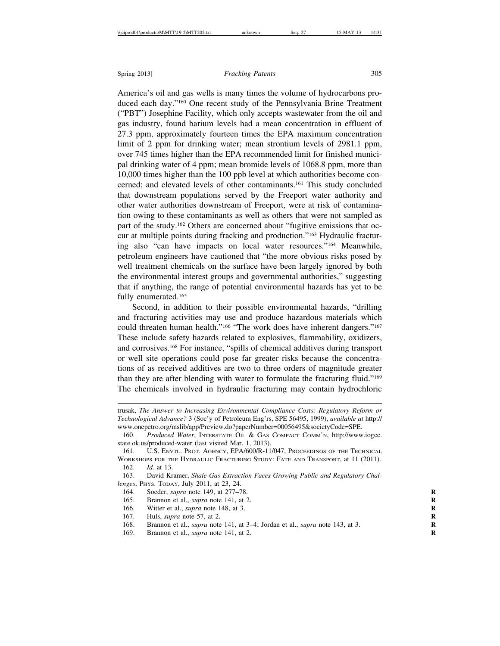America's oil and gas wells is many times the volume of hydrocarbons produced each day."160 One recent study of the Pennsylvania Brine Treatment ("PBT") Josephine Facility, which only accepts wastewater from the oil and gas industry, found barium levels had a mean concentration in effluent of 27.3 ppm, approximately fourteen times the EPA maximum concentration limit of 2 ppm for drinking water; mean strontium levels of 2981.1 ppm, over 745 times higher than the EPA recommended limit for finished municipal drinking water of 4 ppm; mean bromide levels of 1068.8 ppm, more than 10,000 times higher than the 100 ppb level at which authorities become concerned; and elevated levels of other contaminants.161 This study concluded that downstream populations served by the Freeport water authority and other water authorities downstream of Freeport, were at risk of contamination owing to these contaminants as well as others that were not sampled as part of the study.162 Others are concerned about "fugitive emissions that occur at multiple points during fracking and production."163 Hydraulic fracturing also "can have impacts on local water resources."164 Meanwhile, petroleum engineers have cautioned that "the more obvious risks posed by well treatment chemicals on the surface have been largely ignored by both the environmental interest groups and governmental authorities," suggesting that if anything, the range of potential environmental hazards has yet to be fully enumerated.<sup>165</sup>

Second, in addition to their possible environmental hazards, "drilling and fracturing activities may use and produce hazardous materials which could threaten human health."166 "The work does have inherent dangers."167 These include safety hazards related to explosives, flammability, oxidizers, and corrosives.168 For instance, "spills of chemical additives during transport or well site operations could pose far greater risks because the concentrations of as received additives are two to three orders of magnitude greater than they are after blending with water to formulate the fracturing fluid."169 The chemicals involved in hydraulic fracturing may contain hydrochloric

- 166. Witter et al., *supra* note 148, at 3. **R**
- 167. Huls, *supra* note 57, at 2. **R**
- 168. Brannon et al., *supra* note 141, at 3–4; Jordan et al., *supra* note 143, at 3. **R**
- 169. Brannon et al., *supra* note 141, at 2. **R**

trusak, *The Answer to Increasing Environmental Compliance Costs: Regulatory Reform or Technological Advance?* 3 (Soc'y of Petroleum Eng'rs, SPE 56495, 1999), *available at* http:// www.onepetro.org/mslib/app/Preview.do?paperNumber=00056495&societyCode=SPE.

<sup>160.</sup> *Produced Water*, INTERSTATE OIL & GAS COMPACT COMM'N, http://www.iogcc. state.ok.us/produced-water (last visited Mar. 1, 2013).

<sup>161.</sup> U.S. ENVTL. PROT. AGENCY, EPA/600/R-11/047, PROCEEDINGS OF THE TECHNICAL

WORKSHOPS FOR THE HYDRAULIC FRACTURING STUDY: FATE AND TRANSPORT, at 11 (2011). 162. *Id.* at 13.

<sup>163.</sup> David Kramer, *Shale-Gas Extraction Faces Growing Public and Regulatory Challenges*, PHYS. TODAY, July 2011, at 23, 24.

<sup>164.</sup> Soeder, *supra* note 149, at 277–78. **R**

<sup>165.</sup> Brannon et al., *supra* note 141, at 2. **R**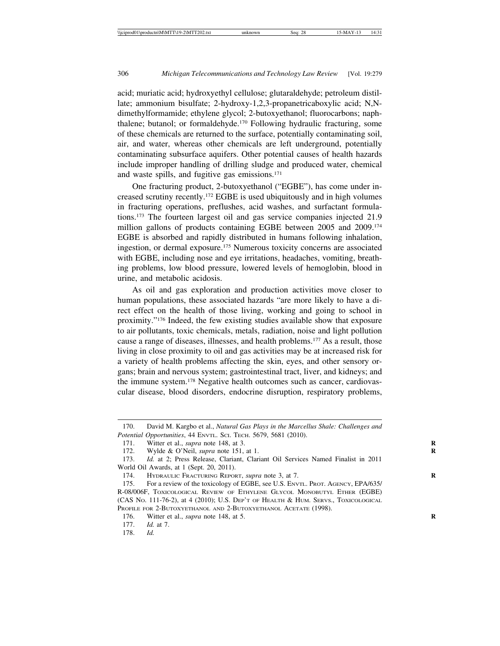acid; muriatic acid; hydroxyethyl cellulose; glutaraldehyde; petroleum distillate; ammonium bisulfate; 2-hydroxy-1,2,3-propanetricaboxylic acid; N,Ndimethylformamide; ethylene glycol; 2-butoxyethanol; fluorocarbons; naphthalene; butanol; or formaldehyde.<sup>170</sup> Following hydraulic fracturing, some of these chemicals are returned to the surface, potentially contaminating soil, air, and water, whereas other chemicals are left underground, potentially contaminating subsurface aquifers. Other potential causes of health hazards include improper handling of drilling sludge and produced water, chemical and waste spills, and fugitive gas emissions.171

One fracturing product, 2-butoxyethanol ("EGBE"), has come under increased scrutiny recently.172 EGBE is used ubiquitously and in high volumes in fracturing operations, preflushes, acid washes, and surfactant formulations.173 The fourteen largest oil and gas service companies injected 21.9 million gallons of products containing EGBE between 2005 and 2009.<sup>174</sup> EGBE is absorbed and rapidly distributed in humans following inhalation, ingestion, or dermal exposure.175 Numerous toxicity concerns are associated with EGBE, including nose and eye irritations, headaches, vomiting, breathing problems, low blood pressure, lowered levels of hemoglobin, blood in urine, and metabolic acidosis.

As oil and gas exploration and production activities move closer to human populations, these associated hazards "are more likely to have a direct effect on the health of those living, working and going to school in proximity."176 Indeed, the few existing studies available show that exposure to air pollutants, toxic chemicals, metals, radiation, noise and light pollution cause a range of diseases, illnesses, and health problems.177 As a result, those living in close proximity to oil and gas activities may be at increased risk for a variety of health problems affecting the skin, eyes, and other sensory organs; brain and nervous system; gastrointestinal tract, liver, and kidneys; and the immune system.178 Negative health outcomes such as cancer, cardiovascular disease, blood disorders, endocrine disruption, respiratory problems,

177. *Id.* at 7.

<sup>170.</sup> David M. Kargbo et al., *Natural Gas Plays in the Marcellus Shale: Challenges and Potential Opportunities*, 44 ENVTL. SCI. TECH. 5679, 5681 (2010).

<sup>171.</sup> Witter et al., *supra* note 148, at 3.<br>172. Wylde & O'Neil, *supra* note 151.

Wylde & O'Neil, *supra* note 151, at 1.

<sup>173.</sup> *Id.* at 2; Press Release, Clariant, Clariant Oil Services Named Finalist in 2011 World Oil Awards, at 1 (Sept. 20, 2011).

<sup>174.</sup> HYDRAULIC FRACTURING REPORT, *supra* note 3, at 7. **R**

<sup>175.</sup> For a review of the toxicology of EGBE, see U.S. ENVTL. PROT. AGENCY, EPA/635/ R-08/006F, TOXICOLOGICAL REVIEW OF ETHYLENE GLYCOL MONOBUTYL ETHER (EGBE) (CAS NO. 111-76-2), at 4 (2010); U.S. DEP'T OF HEALTH & HUM. SERVS., TOXICOLOGICAL PROFILE FOR 2-BUTOXYETHANOL AND 2-BUTOXYETHANOL ACETATE (1998).

<sup>176.</sup> Witter et al., *supra* note 148, at 5. **R**

<sup>178.</sup> *Id.*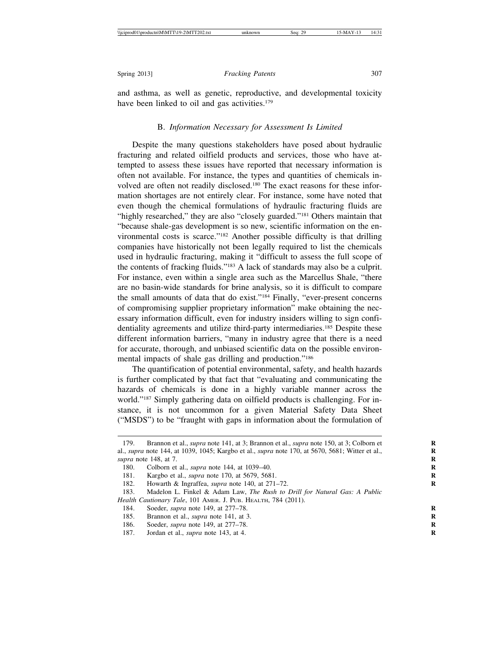and asthma, as well as genetic, reproductive, and developmental toxicity have been linked to oil and gas activities.<sup>179</sup>

# B. *Information Necessary for Assessment Is Limited*

Despite the many questions stakeholders have posed about hydraulic fracturing and related oilfield products and services, those who have attempted to assess these issues have reported that necessary information is often not available. For instance, the types and quantities of chemicals involved are often not readily disclosed.<sup>180</sup> The exact reasons for these information shortages are not entirely clear. For instance, some have noted that even though the chemical formulations of hydraulic fracturing fluids are "highly researched," they are also "closely guarded."<sup>181</sup> Others maintain that "because shale-gas development is so new, scientific information on the environmental costs is scarce."182 Another possible difficulty is that drilling companies have historically not been legally required to list the chemicals used in hydraulic fracturing, making it "difficult to assess the full scope of the contents of fracking fluids."183 A lack of standards may also be a culprit. For instance, even within a single area such as the Marcellus Shale, "there are no basin-wide standards for brine analysis, so it is difficult to compare the small amounts of data that do exist."184 Finally, "ever-present concerns of compromising supplier proprietary information" make obtaining the necessary information difficult, even for industry insiders willing to sign confidentiality agreements and utilize third-party intermediaries.<sup>185</sup> Despite these different information barriers, "many in industry agree that there is a need for accurate, thorough, and unbiased scientific data on the possible environmental impacts of shale gas drilling and production."186

The quantification of potential environmental, safety, and health hazards is further complicated by that fact that "evaluating and communicating the hazards of chemicals is done in a highly variable manner across the world."187 Simply gathering data on oilfield products is challenging. For instance, it is not uncommon for a given Material Safety Data Sheet ("MSDS") to be "fraught with gaps in information about the formulation of

- 181. Kargbo et al., *supra* note 170, at 5679, 5681. **R**
- 182. Howarth & Ingraffea, *supra* note 140, at 271–72. **R**

183. Madelon L. Finkel & Adam Law, *The Rush to Drill for Natural Gas: A Public Health Cautionary Tale*, 101 AMER. J. PUB. HEALTH, 784 (2011).

- 184. Soeder, *supra* note 149, at 277–78. **R**
- 185. Brannon et al., *supra* note 141, at 3. **R**
- 186. Soeder, *supra* note 149, at 277–78. **R**
- 187. Jordan et al., *supra* note 143, at 4. **R**

<sup>179.</sup> Brannon et al., *supra* note 141, at 3; Brannon et al., *supra* note 150, at 3; Colborn et **R** al., *supra* note 144, at 1039, 1045; Kargbo et al., *supra* note 170, at 5670, 5681; Witter et al., **R** *supra* note 148, at 7. **R**

<sup>180.</sup> Colborn et al., *supra* note 144, at 1039–40. **R**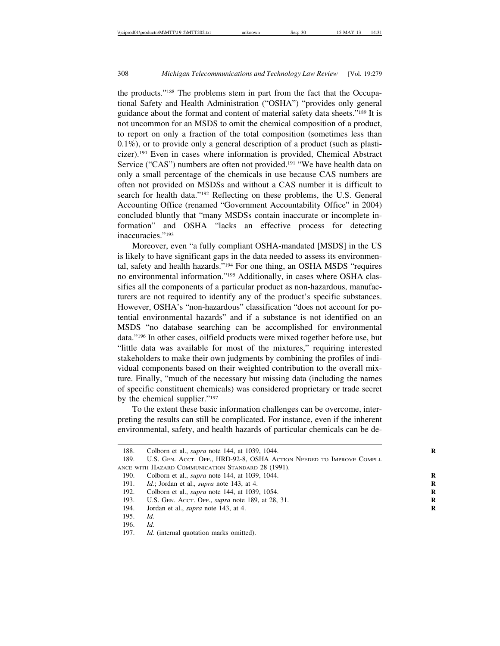the products."188 The problems stem in part from the fact that the Occupational Safety and Health Administration ("OSHA") "provides only general guidance about the format and content of material safety data sheets."189 It is not uncommon for an MSDS to omit the chemical composition of a product, to report on only a fraction of the total composition (sometimes less than 0.1%), or to provide only a general description of a product (such as plasticizer).190 Even in cases where information is provided, Chemical Abstract Service ("CAS") numbers are often not provided.<sup>191</sup> "We have health data on only a small percentage of the chemicals in use because CAS numbers are often not provided on MSDSs and without a CAS number it is difficult to search for health data."192 Reflecting on these problems, the U.S. General Accounting Office (renamed "Government Accountability Office" in 2004) concluded bluntly that "many MSDSs contain inaccurate or incomplete information" and OSHA "lacks an effective process for detecting inaccuracies."193

Moreover, even "a fully compliant OSHA-mandated [MSDS] in the US is likely to have significant gaps in the data needed to assess its environmental, safety and health hazards."194 For one thing, an OSHA MSDS "requires no environmental information."195 Additionally, in cases where OSHA classifies all the components of a particular product as non-hazardous, manufacturers are not required to identify any of the product's specific substances. However, OSHA's "non-hazardous" classification "does not account for potential environmental hazards" and if a substance is not identified on an MSDS "no database searching can be accomplished for environmental data."196 In other cases, oilfield products were mixed together before use, but "little data was available for most of the mixtures," requiring interested stakeholders to make their own judgments by combining the profiles of individual components based on their weighted contribution to the overall mixture. Finally, "much of the necessary but missing data (including the names of specific constituent chemicals) was considered proprietary or trade secret by the chemical supplier."197

To the extent these basic information challenges can be overcome, interpreting the results can still be complicated. For instance, even if the inherent environmental, safety, and health hazards of particular chemicals can be de-

- 190. Colborn et al., *supra* note 144, at 1039, 1044. **R**
- 191. *Id.*; Jordan et al., *supra* note 143, at 4. **R**
- 192. Colborn et al., *supra* note 144, at 1039, 1054. **R**
- 193. U.S. GEN. ACCT. OFF., *supra* note 189, at 28, 31. **R**
- 194. Jordan et al., *supra* note 143, at 4. **R**
- 195. *Id.*
- 196. *Id.*

<sup>188.</sup> Colborn et al., *supra* note 144, at 1039, 1044. **R**

<sup>189.</sup> U.S. GEN. ACCT. OFF., HRD-92-8, OSHA ACTION NEEDED TO IMPROVE COMPLI-ANCE WITH HAZARD COMMUNICATION STANDARD 28 (1991).

<sup>197.</sup> *Id.* (internal quotation marks omitted).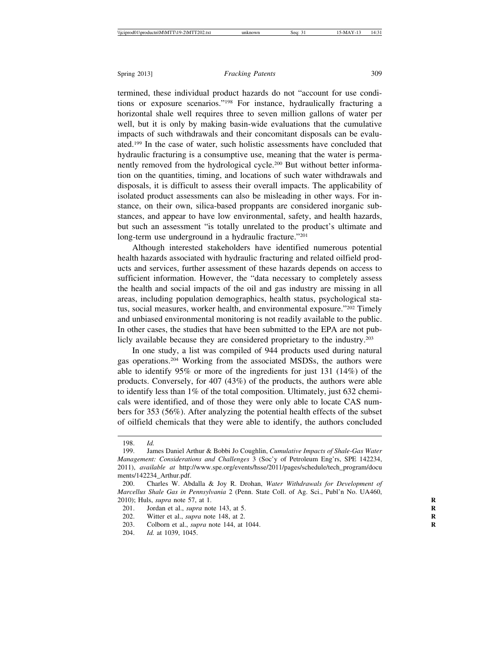termined, these individual product hazards do not "account for use conditions or exposure scenarios."198 For instance, hydraulically fracturing a horizontal shale well requires three to seven million gallons of water per well, but it is only by making basin-wide evaluations that the cumulative impacts of such withdrawals and their concomitant disposals can be evaluated.199 In the case of water, such holistic assessments have concluded that hydraulic fracturing is a consumptive use, meaning that the water is permanently removed from the hydrological cycle.200 But without better information on the quantities, timing, and locations of such water withdrawals and disposals, it is difficult to assess their overall impacts. The applicability of isolated product assessments can also be misleading in other ways. For instance, on their own, silica-based proppants are considered inorganic substances, and appear to have low environmental, safety, and health hazards, but such an assessment "is totally unrelated to the product's ultimate and long-term use underground in a hydraulic fracture."201

Although interested stakeholders have identified numerous potential health hazards associated with hydraulic fracturing and related oilfield products and services, further assessment of these hazards depends on access to sufficient information. However, the "data necessary to completely assess the health and social impacts of the oil and gas industry are missing in all areas, including population demographics, health status, psychological status, social measures, worker health, and environmental exposure."202 Timely and unbiased environmental monitoring is not readily available to the public. In other cases, the studies that have been submitted to the EPA are not publicly available because they are considered proprietary to the industry.<sup>203</sup>

In one study, a list was compiled of 944 products used during natural gas operations.204 Working from the associated MSDSs, the authors were able to identify 95% or more of the ingredients for just 131 (14%) of the products. Conversely, for 407 (43%) of the products, the authors were able to identify less than 1% of the total composition. Ultimately, just 632 chemicals were identified, and of those they were only able to locate CAS numbers for 353 (56%). After analyzing the potential health effects of the subset of oilfield chemicals that they were able to identify, the authors concluded

<sup>198.</sup> *Id.*

<sup>199.</sup> James Daniel Arthur & Bobbi Jo Coughlin, *Cumulative Impacts of Shale-Gas Water Management: Considerations and Challenges* 3 (Soc'y of Petroleum Eng'rs, SPE 142234, 2011), *available at* http://www.spe.org/events/hsse/2011/pages/schedule/tech\_program/docu ments/142234\_Arthur.pdf.

<sup>200.</sup> Charles W. Abdalla & Joy R. Drohan, *Water Withdrawals for Development of Marcellus Shale Gas in Pennsylvania* 2 (Penn. State Coll. of Ag. Sci., Publ'n No. UA460, 2010); Huls, *supra* note 57, at 1. **R**

<sup>201.</sup> Jordan et al., *supra* note 143, at 5. **R**

<sup>202.</sup> Witter et al., *supra* note 148, at 2. **R**

<sup>203.</sup> Colborn et al., *supra* note 144, at 1044. **R**

<sup>204.</sup> *Id.* at 1039, 1045.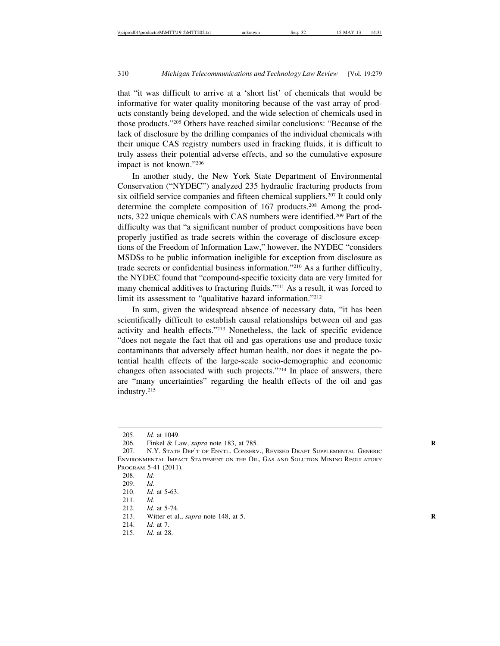that "it was difficult to arrive at a 'short list' of chemicals that would be informative for water quality monitoring because of the vast array of products constantly being developed, and the wide selection of chemicals used in those products."205 Others have reached similar conclusions: "Because of the lack of disclosure by the drilling companies of the individual chemicals with their unique CAS registry numbers used in fracking fluids, it is difficult to truly assess their potential adverse effects, and so the cumulative exposure impact is not known."206

In another study, the New York State Department of Environmental Conservation ("NYDEC") analyzed 235 hydraulic fracturing products from six oilfield service companies and fifteen chemical suppliers.<sup>207</sup> It could only determine the complete composition of 167 products.208 Among the products, 322 unique chemicals with CAS numbers were identified.209 Part of the difficulty was that "a significant number of product compositions have been properly justified as trade secrets within the coverage of disclosure exceptions of the Freedom of Information Law," however, the NYDEC "considers MSDSs to be public information ineligible for exception from disclosure as trade secrets or confidential business information."210 As a further difficulty, the NYDEC found that "compound-specific toxicity data are very limited for many chemical additives to fracturing fluids."211 As a result, it was forced to limit its assessment to "qualitative hazard information."212

In sum, given the widespread absence of necessary data, "it has been scientifically difficult to establish causal relationships between oil and gas activity and health effects."213 Nonetheless, the lack of specific evidence "does not negate the fact that oil and gas operations use and produce toxic contaminants that adversely affect human health, nor does it negate the potential health effects of the large-scale socio-demographic and economic changes often associated with such projects."214 In place of answers, there are "many uncertainties" regarding the health effects of the oil and gas industry.215

- 214. *Id.* at 7.
- 215. *Id.* at 28.

<sup>205.</sup> *Id.* at 1049.

<sup>206.</sup> Finkel & Law, *supra* note 183, at 785. **R**

<sup>207.</sup> N.Y. STATE DEP'T OF ENVTL. CONSERV., REVISED DRAFT SUPPLEMENTAL GENERIC ENVIRONMENTAL IMPACT STATEMENT ON THE OIL, GAS AND SOLUTION MINING REGULATORY PROGRAM 5-41 (2011).

<sup>208.</sup> *Id.*

<sup>209.</sup> *Id.*

<sup>210.</sup> *Id.* at 5-63.

<sup>212.</sup> *Id.* at 5-74.

<sup>213.</sup> Witter et al., *supra* note 148, at 5. **R**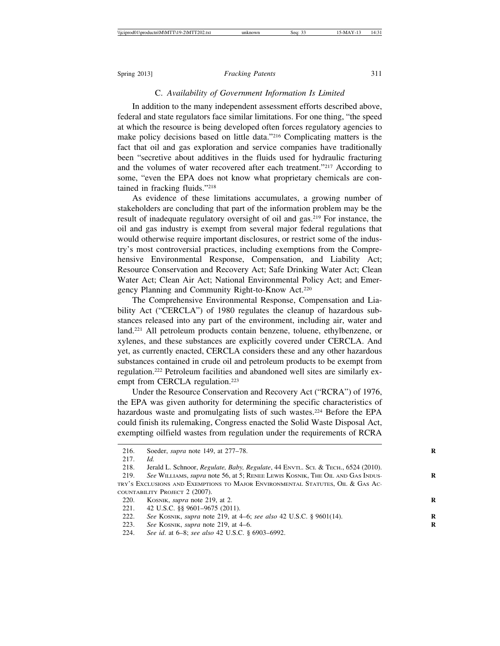#### C. *Availability of Government Information Is Limited*

In addition to the many independent assessment efforts described above, federal and state regulators face similar limitations. For one thing, "the speed at which the resource is being developed often forces regulatory agencies to make policy decisions based on little data."216 Complicating matters is the fact that oil and gas exploration and service companies have traditionally been "secretive about additives in the fluids used for hydraulic fracturing and the volumes of water recovered after each treatment."217 According to some, "even the EPA does not know what proprietary chemicals are contained in fracking fluids."218

As evidence of these limitations accumulates, a growing number of stakeholders are concluding that part of the information problem may be the result of inadequate regulatory oversight of oil and gas.219 For instance, the oil and gas industry is exempt from several major federal regulations that would otherwise require important disclosures, or restrict some of the industry's most controversial practices, including exemptions from the Comprehensive Environmental Response, Compensation, and Liability Act; Resource Conservation and Recovery Act; Safe Drinking Water Act; Clean Water Act; Clean Air Act; National Environmental Policy Act; and Emergency Planning and Community Right-to-Know Act.220

The Comprehensive Environmental Response, Compensation and Liability Act ("CERCLA") of 1980 regulates the cleanup of hazardous substances released into any part of the environment, including air, water and land.221 All petroleum products contain benzene, toluene, ethylbenzene, or xylenes, and these substances are explicitly covered under CERCLA. And yet, as currently enacted, CERCLA considers these and any other hazardous substances contained in crude oil and petroleum products to be exempt from regulation.222 Petroleum facilities and abandoned well sites are similarly exempt from CERCLA regulation.<sup>223</sup>

Under the Resource Conservation and Recovery Act ("RCRA") of 1976, the EPA was given authority for determining the specific characteristics of hazardous waste and promulgating lists of such wastes.<sup>224</sup> Before the EPA could finish its rulemaking, Congress enacted the Solid Waste Disposal Act, exempting oilfield wastes from regulation under the requirements of RCRA

<sup>216.</sup> Soeder, *supra* note 149, at 277–78. **R**

<sup>217.</sup> *Id.*

<sup>218.</sup> Jerald L. Schnoor, *Regulate, Baby, Regulate*, 44 ENVTL. SCI. & TECH., 6524 (2010).

<sup>219.</sup> *See* WILLIAMS, *supra* note 56, at 5; RENEE LEWIS KOSNIK, THE OIL AND GAS INDUS- **R** TRY'S EXCLUSIONS AND EXEMPTIONS TO MAJOR ENVIRONMENTAL STATUTES, OIL & GAS AC-

COUNTABILITY PROJECT 2 (2007). 220. KOSNIK, *supra* note 219, at 2. **R**

<sup>221. 42</sup> U.S.C. §§ 9601–9675 (2011).

<sup>222.</sup> *See* KOSNIK, *supra* note 219, at 4–6; *see also* 42 U.S.C. § 9601(14). **R**

<sup>223.</sup> *See* KOSNIK, *supra* note 219, at 4–6. **R**

<sup>224.</sup> *See id*. at 6–8; *see also* 42 U.S.C. § 6903–6992.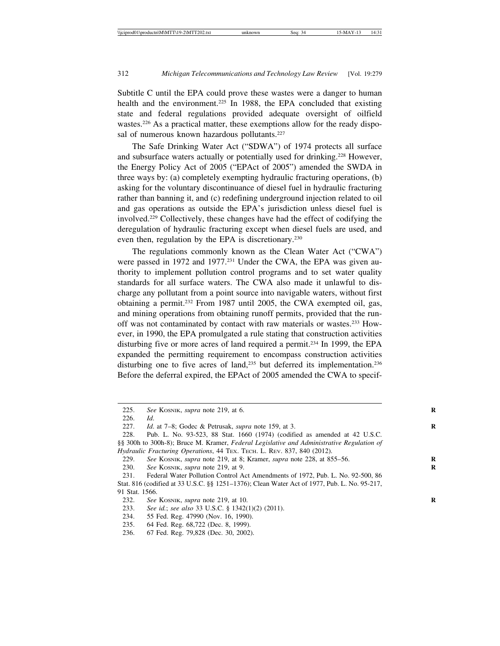Subtitle C until the EPA could prove these wastes were a danger to human health and the environment.<sup>225</sup> In 1988, the EPA concluded that existing state and federal regulations provided adequate oversight of oilfield wastes.<sup>226</sup> As a practical matter, these exemptions allow for the ready disposal of numerous known hazardous pollutants.<sup>227</sup>

The Safe Drinking Water Act ("SDWA") of 1974 protects all surface and subsurface waters actually or potentially used for drinking.228 However, the Energy Policy Act of 2005 ("EPAct of 2005") amended the SWDA in three ways by: (a) completely exempting hydraulic fracturing operations, (b) asking for the voluntary discontinuance of diesel fuel in hydraulic fracturing rather than banning it, and (c) redefining underground injection related to oil and gas operations as outside the EPA's jurisdiction unless diesel fuel is involved.229 Collectively, these changes have had the effect of codifying the deregulation of hydraulic fracturing except when diesel fuels are used, and even then, regulation by the EPA is discretionary.<sup>230</sup>

The regulations commonly known as the Clean Water Act ("CWA") were passed in 1972 and 1977.<sup>231</sup> Under the CWA, the EPA was given authority to implement pollution control programs and to set water quality standards for all surface waters. The CWA also made it unlawful to discharge any pollutant from a point source into navigable waters, without first obtaining a permit.232 From 1987 until 2005, the CWA exempted oil, gas, and mining operations from obtaining runoff permits, provided that the runoff was not contaminated by contact with raw materials or wastes.233 However, in 1990, the EPA promulgated a rule stating that construction activities disturbing five or more acres of land required a permit.<sup>234</sup> In 1999, the EPA expanded the permitting requirement to encompass construction activities disturbing one to five acres of land,<sup>235</sup> but deferred its implementation.<sup>236</sup> Before the deferral expired, the EPAct of 2005 amended the CWA to specif-

<sup>225.</sup> *See* KOSNIK, *supra* note 219, at 6. **R**

<sup>226.</sup> *Id*.

<sup>227.</sup> *Id*. at 7–8; Godec & Petrusak, *supra* note 159, at 3. **R**

<sup>228.</sup> Pub. L. No. 93-523, 88 Stat. 1660 (1974) (codified as amended at 42 U.S.C. §§ 300h to 300h-8); Bruce M. Kramer, *Federal Legislative and Administrative Regulation of Hydraulic Fracturing Operations*, 44 TEX. TECH. L. REV. 837, 840 (2012).

<sup>229.</sup> *See* KOSNIK, *supra* note 219, at 8; Kramer, *supra* note 228, at 855–56. **R**

<sup>230.</sup> *See* KOSNIK, *supra* note 219, at 9. **R**

<sup>231.</sup> Federal Water Pollution Control Act Amendments of 1972, Pub. L. No. 92-500, 86 Stat. 816 (codified at 33 U.S.C. §§ 1251–1376); Clean Water Act of 1977, Pub. L. No. 95-217, 91 Stat. 1566.

<sup>232.</sup> *See* KOSNIK, *supra* note 219, at 10. **R**

<sup>233.</sup> *See id.*; *see also* 33 U.S.C. § 1342(1)(2) (2011).

<sup>234. 55</sup> Fed. Reg. 47990 (Nov. 16, 1990).

<sup>235. 64</sup> Fed. Reg. 68,722 (Dec. 8, 1999).

<sup>236. 67</sup> Fed. Reg. 79,828 (Dec. 30, 2002).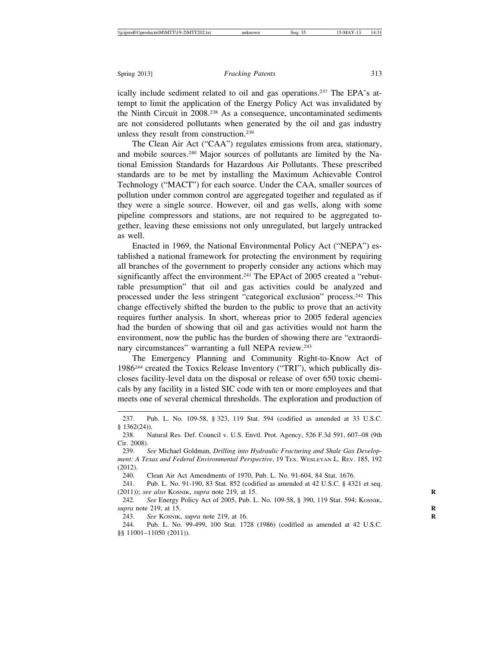ically include sediment related to oil and gas operations.237 The EPA's attempt to limit the application of the Energy Policy Act was invalidated by the Ninth Circuit in 2008.238 As a consequence, uncontaminated sediments are not considered pollutants when generated by the oil and gas industry unless they result from construction.239

The Clean Air Act ("CAA") regulates emissions from area, stationary, and mobile sources.240 Major sources of pollutants are limited by the National Emission Standards for Hazardous Air Pollutants. These prescribed standards are to be met by installing the Maximum Achievable Control Technology ("MACT") for each source. Under the CAA, smaller sources of pollution under common control are aggregated together and regulated as if they were a single source. However, oil and gas wells, along with some pipeline compressors and stations, are not required to be aggregated together, leaving these emissions not only unregulated, but largely untracked as well.

Enacted in 1969, the National Environmental Policy Act ("NEPA") established a national framework for protecting the environment by requiring all branches of the government to properly consider any actions which may significantly affect the environment.<sup>241</sup> The EPAct of 2005 created a "rebuttable presumption" that oil and gas activities could be analyzed and processed under the less stringent "categorical exclusion" process.242 This change effectively shifted the burden to the public to prove that an activity requires further analysis. In short, whereas prior to 2005 federal agencies had the burden of showing that oil and gas activities would not harm the environment, now the public has the burden of showing there are "extraordinary circumstances" warranting a full NEPA review.<sup>243</sup>

The Emergency Planning and Community Right-to-Know Act of 1986244 created the Toxics Release Inventory ("TRI"), which publically discloses facility-level data on the disposal or release of over 650 toxic chemicals by any facility in a listed SIC code with ten or more employees and that meets one of several chemical thresholds. The exploration and production of

240. Clean Air Act Amendments of 1970, Pub. L. No. 91-604, 84 Stat. 1676.

241. Pub. L. No. 91-190, 83 Stat. 852 (codified as amended at 42 U.S.C. § 4321 et seq. (2011)); *see also* KOSNIK, *supra* note 219, at 15. **R**

242. *See* Energy Policy Act of 2005, Pub. L. No. 109-58, § 390, 119 Stat. 594; KOSNIK, *supra* note 219, at 15. **R**

243. *See* KOSNIK, *supra* note 219, at 16. **R**

244. Pub. L. No. 99-499, 100 Stat. 1728 (1986) (codified as amended at 42 U.S.C. §§ 11001–11050 (2011)).

<sup>237.</sup> Pub. L. No. 109-58, § 323, 119 Stat. 594 (codified as amended at 33 U.S.C. § 1362(24)).

<sup>238.</sup> Natural Res. Def. Council v. U.S. Envtl. Prot. Agency, 526 F.3d 591, 607–08 (9th Cir. 2008).

<sup>239.</sup> *See* Michael Goldman, *Drilling into Hydraulic Fracturing and Shale Gas Development: A Texas and Federal Environmental Perspective*, 19 TEX. WESLEYAN L. REV. 185, 192 (2012).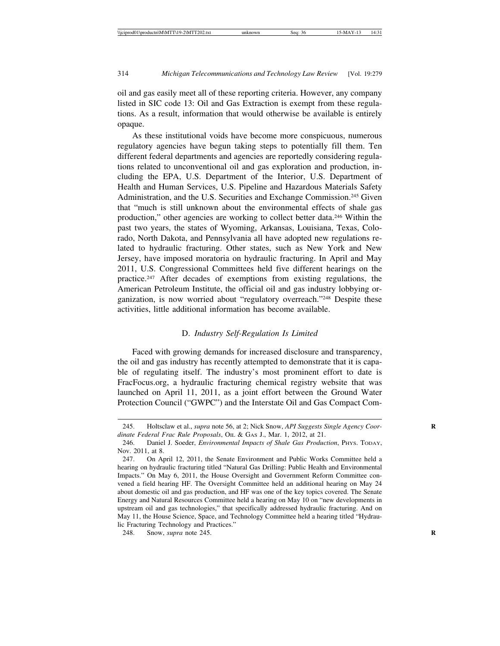oil and gas easily meet all of these reporting criteria. However, any company listed in SIC code 13: Oil and Gas Extraction is exempt from these regulations. As a result, information that would otherwise be available is entirely opaque.

As these institutional voids have become more conspicuous, numerous regulatory agencies have begun taking steps to potentially fill them. Ten different federal departments and agencies are reportedly considering regulations related to unconventional oil and gas exploration and production, including the EPA, U.S. Department of the Interior, U.S. Department of Health and Human Services, U.S. Pipeline and Hazardous Materials Safety Administration, and the U.S. Securities and Exchange Commission.<sup>245</sup> Given that "much is still unknown about the environmental effects of shale gas production," other agencies are working to collect better data.246 Within the past two years, the states of Wyoming, Arkansas, Louisiana, Texas, Colorado, North Dakota, and Pennsylvania all have adopted new regulations related to hydraulic fracturing. Other states, such as New York and New Jersey, have imposed moratoria on hydraulic fracturing. In April and May 2011, U.S. Congressional Committees held five different hearings on the practice.247 After decades of exemptions from existing regulations, the American Petroleum Institute, the official oil and gas industry lobbying organization, is now worried about "regulatory overreach."248 Despite these activities, little additional information has become available.

#### D. *Industry Self-Regulation Is Limited*

Faced with growing demands for increased disclosure and transparency, the oil and gas industry has recently attempted to demonstrate that it is capable of regulating itself. The industry's most prominent effort to date is FracFocus.org, a hydraulic fracturing chemical registry website that was launched on April 11, 2011, as a joint effort between the Ground Water Protection Council ("GWPC") and the Interstate Oil and Gas Compact Com-

<sup>245.</sup> Holtsclaw et al., *supra* note 56, at 2; Nick Snow, *API Suggests Single Agency Coor-* **R** dinate Federal Frac Rule Proposals, OIL & GAS J., Mar. 1, 2012, at 21.

<sup>246.</sup> Daniel J. Soeder, *Environmental Impacts of Shale Gas Production*, PHYS. TODAY, Nov. 2011, at 8.

<sup>247.</sup> On April 12, 2011, the Senate Environment and Public Works Committee held a hearing on hydraulic fracturing titled "Natural Gas Drilling: Public Health and Environmental Impacts." On May 6, 2011, the House Oversight and Government Reform Committee convened a field hearing HF. The Oversight Committee held an additional hearing on May 24 about domestic oil and gas production, and HF was one of the key topics covered. The Senate Energy and Natural Resources Committee held a hearing on May 10 on "new developments in upstream oil and gas technologies," that specifically addressed hydraulic fracturing. And on May 11, the House Science, Space, and Technology Committee held a hearing titled "Hydraulic Fracturing Technology and Practices."

<sup>248.</sup> Snow, *supra* note 245. **R**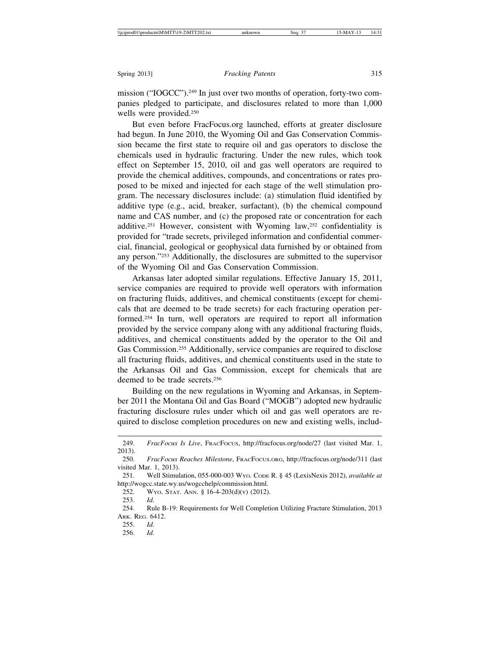mission ("IOGCC").249 In just over two months of operation, forty-two companies pledged to participate, and disclosures related to more than 1,000 wells were provided.250

But even before FracFocus.org launched, efforts at greater disclosure had begun. In June 2010, the Wyoming Oil and Gas Conservation Commission became the first state to require oil and gas operators to disclose the chemicals used in hydraulic fracturing. Under the new rules, which took effect on September 15, 2010, oil and gas well operators are required to provide the chemical additives, compounds, and concentrations or rates proposed to be mixed and injected for each stage of the well stimulation program. The necessary disclosures include: (a) stimulation fluid identified by additive type (e.g., acid, breaker, surfactant), (b) the chemical compound name and CAS number, and (c) the proposed rate or concentration for each additive.251 However, consistent with Wyoming law,252 confidentiality is provided for "trade secrets, privileged information and confidential commercial, financial, geological or geophysical data furnished by or obtained from any person."253 Additionally, the disclosures are submitted to the supervisor of the Wyoming Oil and Gas Conservation Commission.

Arkansas later adopted similar regulations. Effective January 15, 2011, service companies are required to provide well operators with information on fracturing fluids, additives, and chemical constituents (except for chemicals that are deemed to be trade secrets) for each fracturing operation performed.254 In turn, well operators are required to report all information provided by the service company along with any additional fracturing fluids, additives, and chemical constituents added by the operator to the Oil and Gas Commission.255 Additionally, service companies are required to disclose all fracturing fluids, additives, and chemical constituents used in the state to the Arkansas Oil and Gas Commission, except for chemicals that are deemed to be trade secrets.256

Building on the new regulations in Wyoming and Arkansas, in September 2011 the Montana Oil and Gas Board ("MOGB") adopted new hydraulic fracturing disclosure rules under which oil and gas well operators are required to disclose completion procedures on new and existing wells, includ-

<sup>249.</sup> *FracFocus Is Live*, FRACFOCUS, http://fracfocus.org/node/27 (last visited Mar. 1, 2013).

<sup>250.</sup> *FracFocus Reaches Milestone*, FRACFOCUS.ORG, http://fracfocus.org/node/311 (last visited Mar. 1, 2013).

<sup>251.</sup> Well Stimulation, 055-000-003 WYO. CODE R. § 45 (LexisNexis 2012), *available at* http://wogcc.state.wy.us/wogcchelp/commission.html.

<sup>252.</sup> WYO. STAT. ANN. § 16-4-203(d)(v) (2012).

<sup>254.</sup> Rule B-19: Requirements for Well Completion Utilizing Fracture Stimulation, 2013 ARK. REG. 6412.

<sup>255.</sup> *Id.*

<sup>256.</sup> *Id.*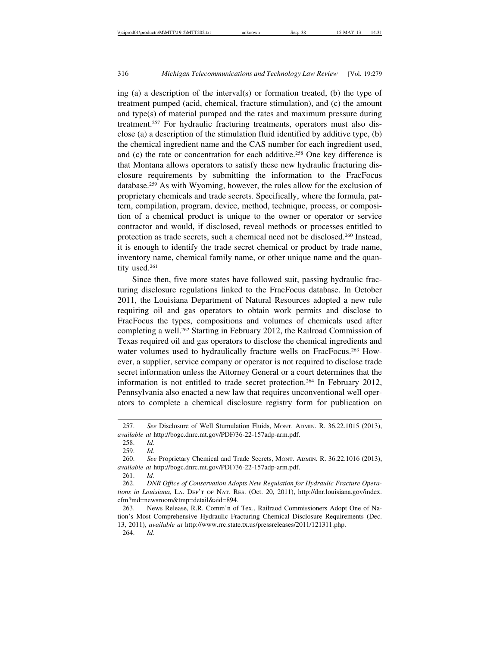ing (a) a description of the interval(s) or formation treated, (b) the type of treatment pumped (acid, chemical, fracture stimulation), and (c) the amount and type(s) of material pumped and the rates and maximum pressure during treatment.257 For hydraulic fracturing treatments, operators must also disclose (a) a description of the stimulation fluid identified by additive type, (b) the chemical ingredient name and the CAS number for each ingredient used, and (c) the rate or concentration for each additive.<sup>258</sup> One key difference is that Montana allows operators to satisfy these new hydraulic fracturing disclosure requirements by submitting the information to the FracFocus database.259 As with Wyoming, however, the rules allow for the exclusion of proprietary chemicals and trade secrets. Specifically, where the formula, pattern, compilation, program, device, method, technique, process, or composition of a chemical product is unique to the owner or operator or service contractor and would, if disclosed, reveal methods or processes entitled to protection as trade secrets, such a chemical need not be disclosed.260 Instead, it is enough to identify the trade secret chemical or product by trade name, inventory name, chemical family name, or other unique name and the quantity used.<sup>261</sup>

Since then, five more states have followed suit, passing hydraulic fracturing disclosure regulations linked to the FracFocus database. In October 2011, the Louisiana Department of Natural Resources adopted a new rule requiring oil and gas operators to obtain work permits and disclose to FracFocus the types, compositions and volumes of chemicals used after completing a well.262 Starting in February 2012, the Railroad Commission of Texas required oil and gas operators to disclose the chemical ingredients and water volumes used to hydraulically fracture wells on FracFocus.<sup>263</sup> However, a supplier, service company or operator is not required to disclose trade secret information unless the Attorney General or a court determines that the information is not entitled to trade secret protection.264 In February 2012, Pennsylvania also enacted a new law that requires unconventional well operators to complete a chemical disclosure registry form for publication on

<sup>257.</sup> *See* Disclosure of Well Stumulation Fluids, MONT. ADMIN. R. 36.22.1015 (2013), *available at* http://bogc.dnrc.mt.gov/PDF/36-22-157adp-arm.pdf.

<sup>258.</sup> *Id.*

<sup>259.</sup> *Id.*

<sup>260.</sup> *See* Proprietary Chemical and Trade Secrets, MONT. ADMIN. R. 36.22.1016 (2013), *available at* http://bogc.dnrc.mt.gov/PDF/36-22-157adp-arm.pdf.

<sup>261.</sup> *Id.*

<sup>262.</sup> *DNR Office of Conservation Adopts New Regulation for Hydraulic Fracture Operations in Louisiana*, LA. DEP'T OF NAT. RES. (Oct. 20, 2011), http://dnr.louisiana.gov/index. cfm?md=newsroom&tmp=detail&aid=894.

<sup>263.</sup> News Release, R.R. Comm'n of Tex., Railraod Commissioners Adopt One of Nation's Most Comprehensive Hydraulic Fracturing Chemical Disclosure Requirements (Dec. 13, 2011), *available at* http://www.rrc.state.tx.us/pressreleases/2011/121311.php.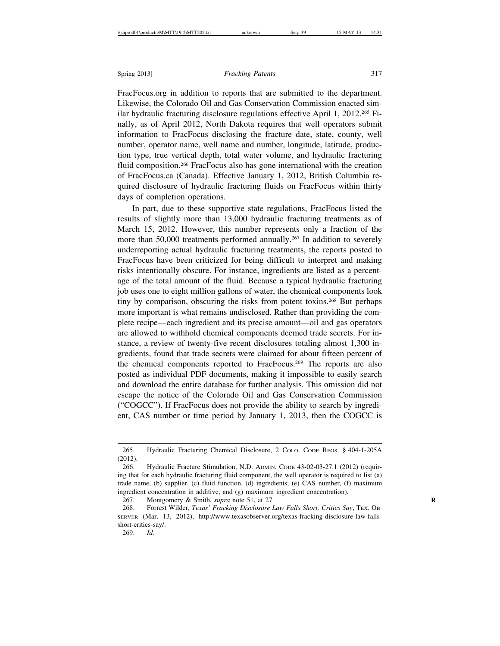Spring 2013] *Fracking Patents* 317

FracFocus.org in addition to reports that are submitted to the department. Likewise, the Colorado Oil and Gas Conservation Commission enacted similar hydraulic fracturing disclosure regulations effective April 1, 2012.265 Finally, as of April 2012, North Dakota requires that well operators submit information to FracFocus disclosing the fracture date, state, county, well number, operator name, well name and number, longitude, latitude, production type, true vertical depth, total water volume, and hydraulic fracturing fluid composition.266 FracFocus also has gone international with the creation of FracFocus.ca (Canada). Effective January 1, 2012, British Columbia required disclosure of hydraulic fracturing fluids on FracFocus within thirty days of completion operations.

In part, due to these supportive state regulations, FracFocus listed the results of slightly more than 13,000 hydraulic fracturing treatments as of March 15, 2012. However, this number represents only a fraction of the more than 50,000 treatments performed annually.<sup>267</sup> In addition to severely underreporting actual hydraulic fracturing treatments, the reports posted to FracFocus have been criticized for being difficult to interpret and making risks intentionally obscure. For instance, ingredients are listed as a percentage of the total amount of the fluid. Because a typical hydraulic fracturing job uses one to eight million gallons of water, the chemical components look tiny by comparison, obscuring the risks from potent toxins.268 But perhaps more important is what remains undisclosed. Rather than providing the complete recipe—each ingredient and its precise amount—oil and gas operators are allowed to withhold chemical components deemed trade secrets. For instance, a review of twenty-five recent disclosures totaling almost 1,300 ingredients, found that trade secrets were claimed for about fifteen percent of the chemical components reported to FracFocus.269 The reports are also posted as individual PDF documents, making it impossible to easily search and download the entire database for further analysis. This omission did not escape the notice of the Colorado Oil and Gas Conservation Commission ("COGCC"). If FracFocus does not provide the ability to search by ingredient, CAS number or time period by January 1, 2013, then the COGCC is

<sup>265.</sup> Hydraulic Fracturing Chemical Disclosure, 2 COLO. CODE REGS. § 404-1-205A (2012).

<sup>266.</sup> Hydraulic Fracture Stimulation, N.D. ADMIN. CODE 43-02-03-27.1 (2012) (requiring that for each hydraulic fracturing fluid component, the well operator is required to list (a) trade name, (b) supplier, (c) fluid function, (d) ingredients, (e) CAS number, (f) maximum ingredient concentration in additive, and (g) maximum ingredient concentration).

<sup>267.</sup> Montgomery & Smith, *supra* note 51, at 27.

<sup>268.</sup> Forrest Wilder, *Texas' Fracking Disclosure Law Falls Short, Critics Say*, TEX. OB-SERVER (Mar. 13, 2012), http://www.texasobserver.org/texas-fracking-disclosure-law-fallsshort-critics-say/.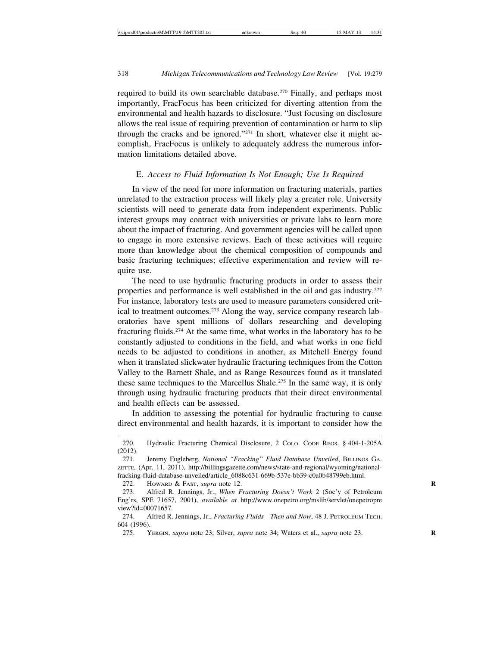required to build its own searchable database.270 Finally, and perhaps most importantly, FracFocus has been criticized for diverting attention from the environmental and health hazards to disclosure. "Just focusing on disclosure allows the real issue of requiring prevention of contamination or harm to slip through the cracks and be ignored."271 In short, whatever else it might accomplish, FracFocus is unlikely to adequately address the numerous information limitations detailed above.

# E. *Access to Fluid Information Is Not Enough; Use Is Required*

In view of the need for more information on fracturing materials, parties unrelated to the extraction process will likely play a greater role. University scientists will need to generate data from independent experiments. Public interest groups may contract with universities or private labs to learn more about the impact of fracturing. And government agencies will be called upon to engage in more extensive reviews. Each of these activities will require more than knowledge about the chemical composition of compounds and basic fracturing techniques; effective experimentation and review will require use.

The need to use hydraulic fracturing products in order to assess their properties and performance is well established in the oil and gas industry.272 For instance, laboratory tests are used to measure parameters considered critical to treatment outcomes.<sup>273</sup> Along the way, service company research laboratories have spent millions of dollars researching and developing fracturing fluids.274 At the same time, what works in the laboratory has to be constantly adjusted to conditions in the field, and what works in one field needs to be adjusted to conditions in another, as Mitchell Energy found when it translated slickwater hydraulic fracturing techniques from the Cotton Valley to the Barnett Shale, and as Range Resources found as it translated these same techniques to the Marcellus Shale.275 In the same way, it is only through using hydraulic fracturing products that their direct environmental and health effects can be assessed.

In addition to assessing the potential for hydraulic fracturing to cause direct environmental and health hazards, it is important to consider how the

<sup>270.</sup> Hydraulic Fracturing Chemical Disclosure, 2 COLO. CODE REGS. § 404-1-205A (2012).

<sup>271.</sup> Jeremy Fugleberg, *National "Fracking" Fluid Database Unveiled*, BILLINGS GA-ZETTE, (Apr. 11, 2011), http://billingsgazette.com/news/state-and-regional/wyoming/nationalfracking-fluid-database-unveiled/article\_6088c631-669b-537e-bb39-c0a0b48799eb.html.

<sup>272.</sup> HOWARD & FAST, *supra* note 12. **R**

<sup>273.</sup> Alfred R. Jennings, Jr., *When Fracturing Doesn't Work* 2 (Soc'y of Petroleum Eng'rs, SPE 71657, 2001), *available at* http://www.onepetro.org/mslib/servlet/onepetropre view?id=00071657.

<sup>274.</sup> Alfred R. Jennings, Jr., *Fracturing Fluids—Then and Now*, 48 J. PETROLEUM TECH. 604 (1996).

<sup>275.</sup> YERGIN, *supra* note 23; Silver, *supra* note 34; Waters et al., *supra* note 23. **R**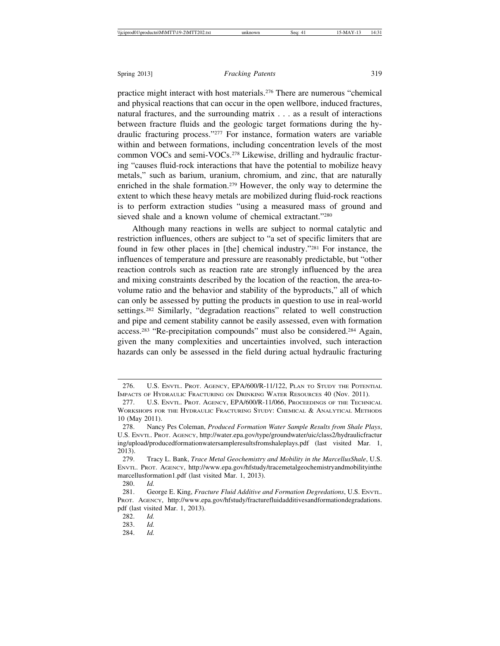practice might interact with host materials.276 There are numerous "chemical and physical reactions that can occur in the open wellbore, induced fractures, natural fractures, and the surrounding matrix . . . as a result of interactions between fracture fluids and the geologic target formations during the hydraulic fracturing process."277 For instance, formation waters are variable within and between formations, including concentration levels of the most common VOCs and semi-VOCs.278 Likewise, drilling and hydraulic fracturing "causes fluid-rock interactions that have the potential to mobilize heavy metals," such as barium, uranium, chromium, and zinc, that are naturally enriched in the shale formation.279 However, the only way to determine the extent to which these heavy metals are mobilized during fluid-rock reactions is to perform extraction studies "using a measured mass of ground and sieved shale and a known volume of chemical extractant."280

Although many reactions in wells are subject to normal catalytic and restriction influences, others are subject to "a set of specific limiters that are found in few other places in [the] chemical industry."281 For instance, the influences of temperature and pressure are reasonably predictable, but "other reaction controls such as reaction rate are strongly influenced by the area and mixing constraints described by the location of the reaction, the area-tovolume ratio and the behavior and stability of the byproducts," all of which can only be assessed by putting the products in question to use in real-world settings.282 Similarly, "degradation reactions" related to well construction and pipe and cement stability cannot be easily assessed, even with formation access.283 "Re-precipitation compounds" must also be considered.284 Again, given the many complexities and uncertainties involved, such interaction hazards can only be assessed in the field during actual hydraulic fracturing

<sup>276.</sup> U.S. ENVTL. PROT. AGENCY, EPA/600/R-11/122, PLAN TO STUDY THE POTENTIAL IMPACTS OF HYDRAULIC FRACTURING ON DRINKING WATER RESOURCES 40 (Nov. 2011).

<sup>277.</sup> U.S. ENVTL. PROT. AGENCY, EPA/600/R-11/066, PROCEEDINGS OF THE TECHNICAL WORKSHOPS FOR THE HYDRAULIC FRACTURING STUDY: CHEMICAL & ANALYTICAL METHODS 10 (May 2011).

<sup>278.</sup> Nancy Pes Coleman, *Produced Formation Water Sample Results from Shale Plays*, U.S. ENVTL. PROT. AGENCY, http://water.epa.gov/type/groundwater/uic/class2/hydraulicfractur ing/upload/producedformationwatersampleresultsfromshaleplays.pdf (last visited Mar. 1, 2013).

<sup>279.</sup> Tracy L. Bank, *Trace Metal Geochemistry and Mobility in the MarcellusShale*, U.S. ENVTL. PROT. AGENCY, http://www.epa.gov/hfstudy/tracemetalgeochemistryandmobilityinthe marcellusformation1.pdf (last visited Mar. 1, 2013).

<sup>280.</sup> *Id.*

<sup>281.</sup> George E. King, *Fracture Fluid Additive and Formation Degredations*, U.S. ENVTL. PROT. AGENCY, http://www.epa.gov/hfstudy/fracturefluidadditivesandformationdegradations. pdf (last visited Mar. 1, 2013).

<sup>282.</sup> *Id.*

<sup>283.</sup> *Id.*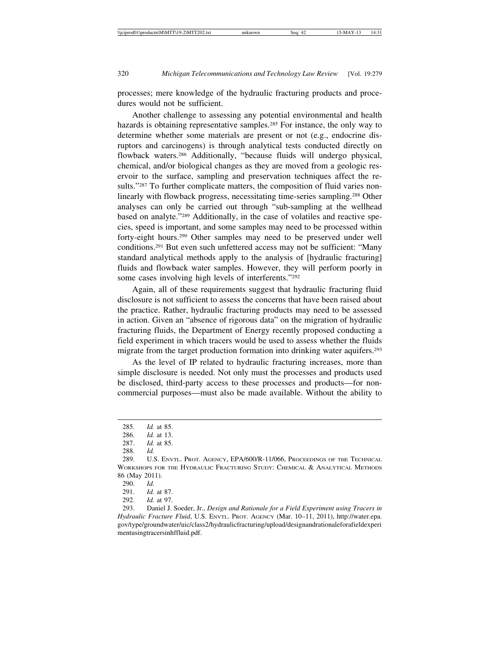processes; mere knowledge of the hydraulic fracturing products and procedures would not be sufficient.

Another challenge to assessing any potential environmental and health hazards is obtaining representative samples.<sup>285</sup> For instance, the only way to determine whether some materials are present or not (e.g., endocrine disruptors and carcinogens) is through analytical tests conducted directly on flowback waters.286 Additionally, "because fluids will undergo physical, chemical, and/or biological changes as they are moved from a geologic reservoir to the surface, sampling and preservation techniques affect the results."287 To further complicate matters, the composition of fluid varies nonlinearly with flowback progress, necessitating time-series sampling.288 Other analyses can only be carried out through "sub-sampling at the wellhead based on analyte."289 Additionally, in the case of volatiles and reactive species, speed is important, and some samples may need to be processed within forty-eight hours.290 Other samples may need to be preserved under well conditions.291 But even such unfettered access may not be sufficient: "Many standard analytical methods apply to the analysis of [hydraulic fracturing] fluids and flowback water samples. However, they will perform poorly in some cases involving high levels of interferents."292

Again, all of these requirements suggest that hydraulic fracturing fluid disclosure is not sufficient to assess the concerns that have been raised about the practice. Rather, hydraulic fracturing products may need to be assessed in action. Given an "absence of rigorous data" on the migration of hydraulic fracturing fluids, the Department of Energy recently proposed conducting a field experiment in which tracers would be used to assess whether the fluids migrate from the target production formation into drinking water aquifers.<sup>293</sup>

As the level of IP related to hydraulic fracturing increases, more than simple disclosure is needed. Not only must the processes and products used be disclosed, third-party access to these processes and products—for noncommercial purposes—must also be made available. Without the ability to

290. *Id.*

291. *Id.* at 87.

292. *Id.* at 97.

<sup>285.</sup> *Id.* at 85.

<sup>286.</sup> *Id.* at 13.

<sup>287.</sup> *Id.* at 85.

<sup>288.</sup> *Id.*

<sup>289.</sup> U.S. ENVTL. PROT. AGENCY, EPA/600/R-11/066, PROCEEDINGS OF THE TECHNICAL WORKSHOPS FOR THE HYDRAULIC FRACTURING STUDY: CHEMICAL & ANALYTICAL METHODS 86 (May 2011).

<sup>293.</sup> Daniel J. Soeder, Jr., *Design and Rationale for a Field Experiment using Tracers in Hydraulic Fracture Fluid*, U.S. ENVTL. PROT. AGENCY (Mar. 10–11, 2011), http://water.epa. gov/type/groundwater/uic/class2/hydraulicfracturing/upload/designandrationaleforafieldexperi mentusingtracersinhffluid.pdf.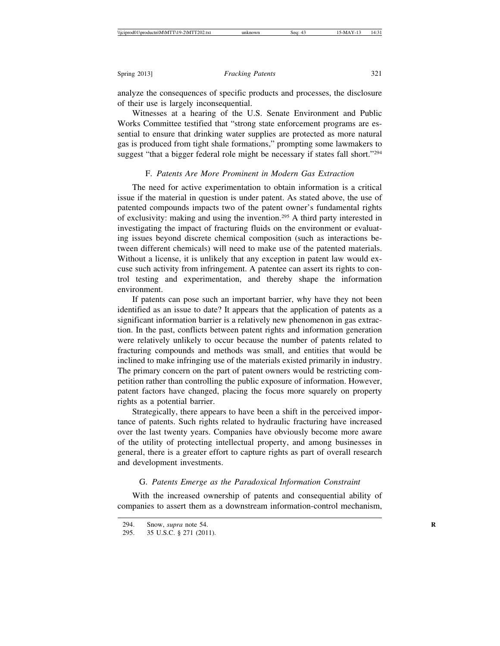analyze the consequences of specific products and processes, the disclosure of their use is largely inconsequential.

Witnesses at a hearing of the U.S. Senate Environment and Public Works Committee testified that "strong state enforcement programs are essential to ensure that drinking water supplies are protected as more natural gas is produced from tight shale formations," prompting some lawmakers to suggest "that a bigger federal role might be necessary if states fall short."294

# F. *Patents Are More Prominent in Modern Gas Extraction*

The need for active experimentation to obtain information is a critical issue if the material in question is under patent. As stated above, the use of patented compounds impacts two of the patent owner's fundamental rights of exclusivity: making and using the invention.295 A third party interested in investigating the impact of fracturing fluids on the environment or evaluating issues beyond discrete chemical composition (such as interactions between different chemicals) will need to make use of the patented materials. Without a license, it is unlikely that any exception in patent law would excuse such activity from infringement. A patentee can assert its rights to control testing and experimentation, and thereby shape the information environment.

If patents can pose such an important barrier, why have they not been identified as an issue to date? It appears that the application of patents as a significant information barrier is a relatively new phenomenon in gas extraction. In the past, conflicts between patent rights and information generation were relatively unlikely to occur because the number of patents related to fracturing compounds and methods was small, and entities that would be inclined to make infringing use of the materials existed primarily in industry. The primary concern on the part of patent owners would be restricting competition rather than controlling the public exposure of information. However, patent factors have changed, placing the focus more squarely on property rights as a potential barrier.

Strategically, there appears to have been a shift in the perceived importance of patents. Such rights related to hydraulic fracturing have increased over the last twenty years. Companies have obviously become more aware of the utility of protecting intellectual property, and among businesses in general, there is a greater effort to capture rights as part of overall research and development investments.

# G. *Patents Emerge as the Paradoxical Information Constraint*

With the increased ownership of patents and consequential ability of companies to assert them as a downstream information-control mechanism,

<sup>294.</sup> Snow, *supra* note 54. **R**

<sup>295. 35</sup> U.S.C. § 271 (2011).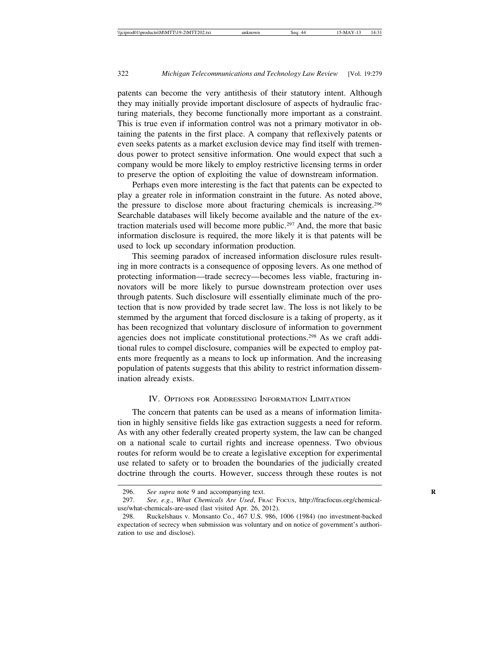patents can become the very antithesis of their statutory intent. Although they may initially provide important disclosure of aspects of hydraulic fracturing materials, they become functionally more important as a constraint. This is true even if information control was not a primary motivator in obtaining the patents in the first place. A company that reflexively patents or even seeks patents as a market exclusion device may find itself with tremendous power to protect sensitive information. One would expect that such a company would be more likely to employ restrictive licensing terms in order to preserve the option of exploiting the value of downstream information.

Perhaps even more interesting is the fact that patents can be expected to play a greater role in information constraint in the future. As noted above, the pressure to disclose more about fracturing chemicals is increasing.296 Searchable databases will likely become available and the nature of the extraction materials used will become more public.297 And, the more that basic information disclosure is required, the more likely it is that patents will be used to lock up secondary information production.

This seeming paradox of increased information disclosure rules resulting in more contracts is a consequence of opposing levers. As one method of protecting information—trade secrecy—becomes less viable, fracturing innovators will be more likely to pursue downstream protection over uses through patents. Such disclosure will essentially eliminate much of the protection that is now provided by trade secret law. The loss is not likely to be stemmed by the argument that forced disclosure is a taking of property, as it has been recognized that voluntary disclosure of information to government agencies does not implicate constitutional protections.298 As we craft additional rules to compel disclosure, companies will be expected to employ patents more frequently as a means to lock up information. And the increasing population of patents suggests that this ability to restrict information dissemination already exists.

#### IV. OPTIONS FOR ADDRESSING INFORMATION LIMITATION

The concern that patents can be used as a means of information limitation in highly sensitive fields like gas extraction suggests a need for reform. As with any other federally created property system, the law can be changed on a national scale to curtail rights and increase openness. Two obvious routes for reform would be to create a legislative exception for experimental use related to safety or to broaden the boundaries of the judicially created doctrine through the courts. However, success through these routes is not

<sup>296.</sup> *See supra* note 9 and accompanying text. **R**

<sup>297.</sup> *See, e.g.*, *What Chemicals Are Used*, FRAC FOCUS, http://fracfocus.org/chemicaluse/what-chemicals-are-used (last visited Apr. 26, 2012).

<sup>298.</sup> Ruckelshaus v. Monsanto Co., 467 U.S. 986, 1006 (1984) (no investment-backed expectation of secrecy when submission was voluntary and on notice of government's authorization to use and disclose).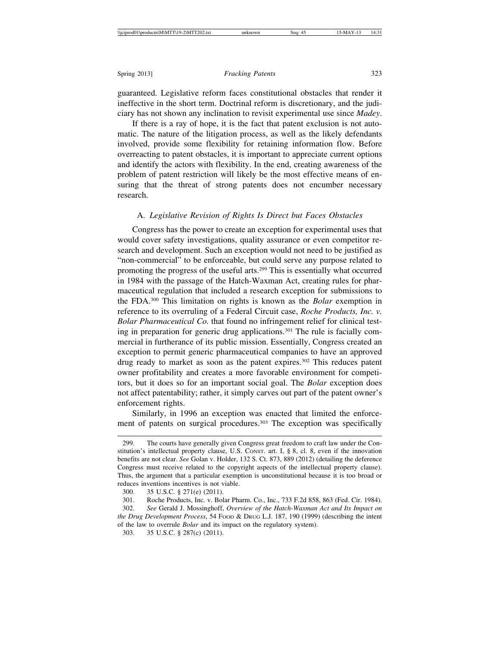guaranteed. Legislative reform faces constitutional obstacles that render it ineffective in the short term. Doctrinal reform is discretionary, and the judiciary has not shown any inclination to revisit experimental use since *Madey*.

If there is a ray of hope, it is the fact that patent exclusion is not automatic. The nature of the litigation process, as well as the likely defendants involved, provide some flexibility for retaining information flow. Before overreacting to patent obstacles, it is important to appreciate current options and identify the actors with flexibility. In the end, creating awareness of the problem of patent restriction will likely be the most effective means of ensuring that the threat of strong patents does not encumber necessary research.

# A. *Legislative Revision of Rights Is Direct but Faces Obstacles*

Congress has the power to create an exception for experimental uses that would cover safety investigations, quality assurance or even competitor research and development. Such an exception would not need to be justified as "non-commercial" to be enforceable, but could serve any purpose related to promoting the progress of the useful arts.299 This is essentially what occurred in 1984 with the passage of the Hatch-Waxman Act, creating rules for pharmaceutical regulation that included a research exception for submissions to the FDA.300 This limitation on rights is known as the *Bolar* exemption in reference to its overruling of a Federal Circuit case, *Roche Products, Inc. v. Bolar Pharmaceutical Co.* that found no infringement relief for clinical testing in preparation for generic drug applications.<sup>301</sup> The rule is facially commercial in furtherance of its public mission. Essentially, Congress created an exception to permit generic pharmaceutical companies to have an approved drug ready to market as soon as the patent expires.302 This reduces patent owner profitability and creates a more favorable environment for competitors, but it does so for an important social goal. The *Bolar* exception does not affect patentability; rather, it simply carves out part of the patent owner's enforcement rights.

Similarly, in 1996 an exception was enacted that limited the enforcement of patents on surgical procedures.<sup>303</sup> The exception was specifically

<sup>299.</sup> The courts have generally given Congress great freedom to craft law under the Constitution's intellectual property clause, U.S. CONST. art. I, § 8, cl. 8, even if the innovation benefits are not clear. *See* Golan v. Holder, 132 S. Ct. 873, 889 (2012) (detailing the deference Congress must receive related to the copyright aspects of the intellectual property clause). Thus, the argument that a particular exemption is unconstitutional because it is too broad or reduces inventions incentives is not viable.

<sup>300. 35</sup> U.S.C. § 271(e) (2011).

<sup>301.</sup> Roche Products, Inc. v. Bolar Pharm. Co., Inc., 733 F.2d 858, 863 (Fed. Cir. 1984).

<sup>302.</sup> *See* Gerald J. Mossinghoff, *Overview of the Hatch-Waxman Act and Its Impact on the Drug Development Process*, 54 FOOD & DRUG L.J. 187, 190 (1999) (describing the intent of the law to overrule *Bolar* and its impact on the regulatory system).

<sup>303. 35</sup> U.S.C. § 287(c) (2011).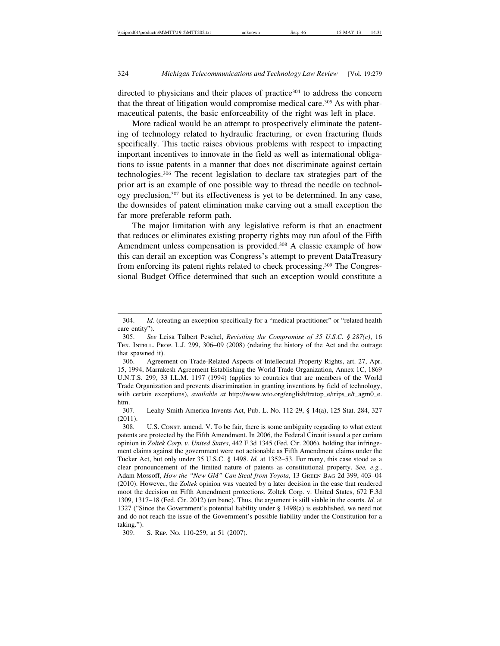directed to physicians and their places of practice<sup>304</sup> to address the concern that the threat of litigation would compromise medical care.<sup>305</sup> As with pharmaceutical patents, the basic enforceability of the right was left in place.

More radical would be an attempt to prospectively eliminate the patenting of technology related to hydraulic fracturing, or even fracturing fluids specifically. This tactic raises obvious problems with respect to impacting important incentives to innovate in the field as well as international obligations to issue patents in a manner that does not discriminate against certain technologies.306 The recent legislation to declare tax strategies part of the prior art is an example of one possible way to thread the needle on technology preclusion,307 but its effectiveness is yet to be determined. In any case, the downsides of patent elimination make carving out a small exception the far more preferable reform path.

The major limitation with any legislative reform is that an enactment that reduces or eliminates existing property rights may run afoul of the Fifth Amendment unless compensation is provided.<sup>308</sup> A classic example of how this can derail an exception was Congress's attempt to prevent DataTreasury from enforcing its patent rights related to check processing.309 The Congressional Budget Office determined that such an exception would constitute a

<sup>304.</sup> *Id.* (creating an exception specifically for a "medical practitioner" or "related health care entity").

<sup>305.</sup> *See* Leisa Talbert Peschel, *Revisiting the Compromise of 35 U.S.C. § 287(c)*, 16 TEX. INTELL. PROP. L.J. 299, 306–09 (2008) (relating the history of the Act and the outrage that spawned it).

<sup>306.</sup> Agreement on Trade-Related Aspects of Intellecutal Property Rights, art. 27, Apr. 15, 1994, Marrakesh Agreement Establishing the World Trade Organization, Annex 1C, 1869 U.N.T.S. 299, 33 I.L.M. 1197 (1994) (applies to countries that are members of the World Trade Organization and prevents discrimination in granting inventions by field of technology, with certain exceptions), *available at* http://www.wto.org/english/tratop\_e/trips\_e/t\_agm0\_e. htm.

<sup>307.</sup> Leahy-Smith America Invents Act, Pub. L. No. 112-29, § 14(a), 125 Stat. 284, 327 (2011).

<sup>308.</sup> U.S. CONST. amend. V. To be fair, there is some ambiguity regarding to what extent patents are protected by the Fifth Amendment. In 2006, the Federal Circuit issued a per curiam opinion in *Zoltek Corp. v. United States*, 442 F.3d 1345 (Fed. Cir. 2006), holding that infringement claims against the government were not actionable as Fifth Amendment claims under the Tucker Act, but only under 35 U.S.C. § 1498. *Id.* at 1352–53. For many, this case stood as a clear pronouncement of the limited nature of patents as constitutional property. *See, e.g.*, Adam Mossoff, *How the "New GM" Can Steal from Toyota*, 13 GREEN BAG 2d 399, 403–04 (2010). However, the *Zoltek* opinion was vacated by a later decision in the case that rendered moot the decision on Fifth Amendment protections. Zoltek Corp. v. United States, 672 F.3d 1309, 1317–18 (Fed. Cir. 2012) (en banc). Thus, the argument is still viable in the courts. *Id.* at 1327 ("Since the Government's potential liability under § 1498(a) is established, we need not and do not reach the issue of the Government's possible liability under the Constitution for a taking.").

<sup>309.</sup> S. REP. NO. 110-259, at 51 (2007).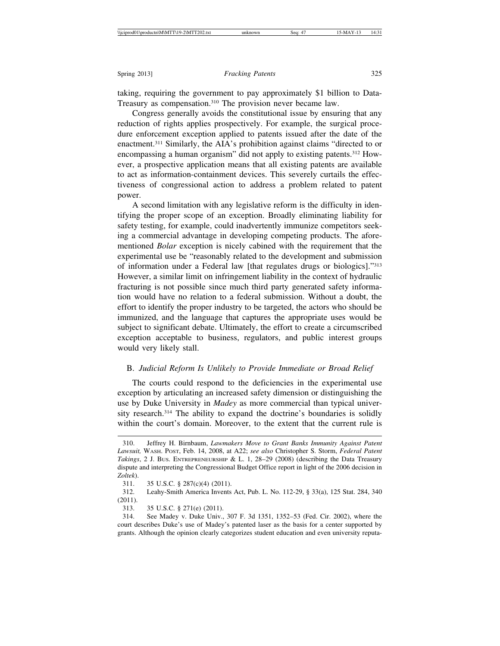taking, requiring the government to pay approximately \$1 billion to Data-Treasury as compensation.310 The provision never became law.

Congress generally avoids the constitutional issue by ensuring that any reduction of rights applies prospectively. For example, the surgical procedure enforcement exception applied to patents issued after the date of the enactment.311 Similarly, the AIA's prohibition against claims "directed to or encompassing a human organism" did not apply to existing patents.312 However, a prospective application means that all existing patents are available to act as information-containment devices. This severely curtails the effectiveness of congressional action to address a problem related to patent power.

A second limitation with any legislative reform is the difficulty in identifying the proper scope of an exception. Broadly eliminating liability for safety testing, for example, could inadvertently immunize competitors seeking a commercial advantage in developing competing products. The aforementioned *Bolar* exception is nicely cabined with the requirement that the experimental use be "reasonably related to the development and submission of information under a Federal law [that regulates drugs or biologics]."313 However, a similar limit on infringement liability in the context of hydraulic fracturing is not possible since much third party generated safety information would have no relation to a federal submission. Without a doubt, the effort to identify the proper industry to be targeted, the actors who should be immunized, and the language that captures the appropriate uses would be subject to significant debate. Ultimately, the effort to create a circumscribed exception acceptable to business, regulators, and public interest groups would very likely stall.

## B. *Judicial Reform Is Unlikely to Provide Immediate or Broad Relief*

The courts could respond to the deficiencies in the experimental use exception by articulating an increased safety dimension or distinguishing the use by Duke University in *Madey* as more commercial than typical university research.<sup>314</sup> The ability to expand the doctrine's boundaries is solidly within the court's domain. Moreover, to the extent that the current rule is

<sup>310.</sup> Jeffrey H. Birnbaum, *Lawmakers Move to Grant Banks Immunity Against Patent Lawsuit,* WASH. POST, Feb. 14, 2008, at A22; *see also* Christopher S. Storm, *Federal Patent Takings*, 2 J. BUS. ENTREPRENEURSHIP & L. 1, 28–29 (2008) (describing the Data Treasury dispute and interpreting the Congressional Budget Office report in light of the 2006 decision in *Zoltek*).

<sup>311. 35</sup> U.S.C. § 287(c)(4) (2011).

<sup>312.</sup> Leahy-Smith America Invents Act, Pub. L. No. 112-29, § 33(a), 125 Stat. 284, 340 (2011).

<sup>313. 35</sup> U.S.C. § 271(e) (2011).

<sup>314.</sup> See Madey v. Duke Univ., 307 F. 3d 1351, 1352–53 (Fed. Cir. 2002), where the court describes Duke's use of Madey's patented laser as the basis for a center supported by grants. Although the opinion clearly categorizes student education and even university reputa-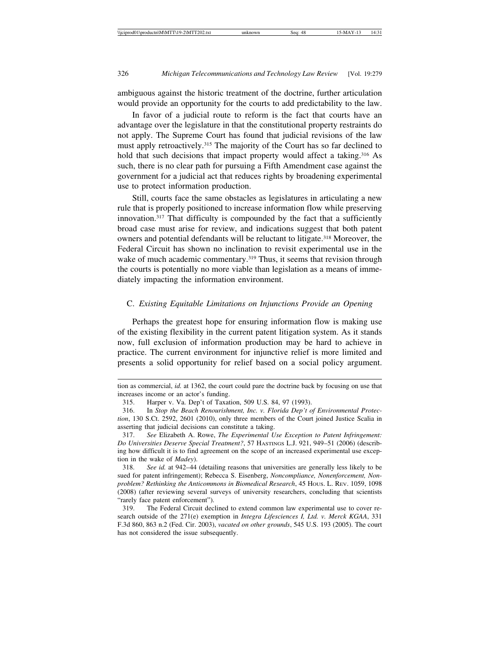ambiguous against the historic treatment of the doctrine, further articulation would provide an opportunity for the courts to add predictability to the law.

In favor of a judicial route to reform is the fact that courts have an advantage over the legislature in that the constitutional property restraints do not apply. The Supreme Court has found that judicial revisions of the law must apply retroactively.315 The majority of the Court has so far declined to hold that such decisions that impact property would affect a taking.<sup>316</sup> As such, there is no clear path for pursuing a Fifth Amendment case against the government for a judicial act that reduces rights by broadening experimental use to protect information production.

Still, courts face the same obstacles as legislatures in articulating a new rule that is properly positioned to increase information flow while preserving innovation.317 That difficulty is compounded by the fact that a sufficiently broad case must arise for review, and indications suggest that both patent owners and potential defendants will be reluctant to litigate.<sup>318</sup> Moreover, the Federal Circuit has shown no inclination to revisit experimental use in the wake of much academic commentary.<sup>319</sup> Thus, it seems that revision through the courts is potentially no more viable than legislation as a means of immediately impacting the information environment.

# C. *Existing Equitable Limitations on Injunctions Provide an Opening*

Perhaps the greatest hope for ensuring information flow is making use of the existing flexibility in the current patent litigation system. As it stands now, full exclusion of information production may be hard to achieve in practice. The current environment for injunctive relief is more limited and presents a solid opportunity for relief based on a social policy argument.

318. *See id.* at 942–44 (detailing reasons that universities are generally less likely to be sued for patent infringement); Rebecca S. Eisenberg, *Noncompliance, Nonenforcement, Nonproblem? Rethinking the Anticommons in Biomedical Research*, 45 HOUS. L. REV. 1059, 1098 (2008) (after reviewing several surveys of university researchers, concluding that scientists "rarely face patent enforcement").

tion as commercial, *id.* at 1362, the court could pare the doctrine back by focusing on use that increases income or an actor's funding.

<sup>315.</sup> Harper v. Va. Dep't of Taxation, 509 U.S. 84, 97 (1993).

<sup>316.</sup> In *Stop the Beach Renourishment, Inc. v. Florida Dep't of Environmental Protection*, 130 S.Ct. 2592, 2601 (2010), only three members of the Court joined Justice Scalia in asserting that judicial decisions can constitute a taking.

<sup>317.</sup> *See* Elizabeth A. Rowe, *The Experimental Use Exception to Patent Infringement: Do Universities Deserve Special Treatment?*, 57 HASTINGS L.J. 921, 949–51 (2006) (describing how difficult it is to find agreement on the scope of an increased experimental use exception in the wake of *Madey*).

<sup>319.</sup> The Federal Circuit declined to extend common law experimental use to cover research outside of the 271(e) exemption in *Integra Lifesciences I, Ltd. v. Merck KGAA*, 331 F.3d 860, 863 n.2 (Fed. Cir. 2003), *vacated on other grounds*, 545 U.S. 193 (2005). The court has not considered the issue subsequently.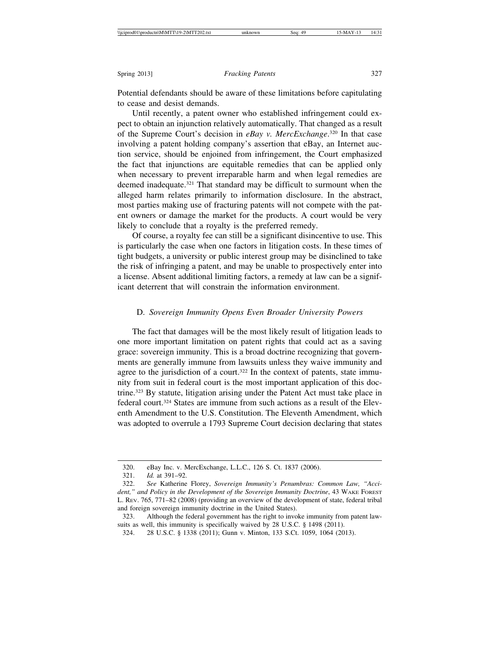Potential defendants should be aware of these limitations before capitulating to cease and desist demands.

Until recently, a patent owner who established infringement could expect to obtain an injunction relatively automatically. That changed as a result of the Supreme Court's decision in *eBay v. MercExchange*. 320 In that case involving a patent holding company's assertion that eBay, an Internet auction service, should be enjoined from infringement, the Court emphasized the fact that injunctions are equitable remedies that can be applied only when necessary to prevent irreparable harm and when legal remedies are deemed inadequate.321 That standard may be difficult to surmount when the alleged harm relates primarily to information disclosure. In the abstract, most parties making use of fracturing patents will not compete with the patent owners or damage the market for the products. A court would be very likely to conclude that a royalty is the preferred remedy.

Of course, a royalty fee can still be a significant disincentive to use. This is particularly the case when one factors in litigation costs. In these times of tight budgets, a university or public interest group may be disinclined to take the risk of infringing a patent, and may be unable to prospectively enter into a license. Absent additional limiting factors, a remedy at law can be a significant deterrent that will constrain the information environment.

#### D. *Sovereign Immunity Opens Even Broader University Powers*

The fact that damages will be the most likely result of litigation leads to one more important limitation on patent rights that could act as a saving grace: sovereign immunity. This is a broad doctrine recognizing that governments are generally immune from lawsuits unless they waive immunity and agree to the jurisdiction of a court.<sup>322</sup> In the context of patents, state immunity from suit in federal court is the most important application of this doctrine.323 By statute, litigation arising under the Patent Act must take place in federal court.324 States are immune from such actions as a result of the Eleventh Amendment to the U.S. Constitution. The Eleventh Amendment, which was adopted to overrule a 1793 Supreme Court decision declaring that states

<sup>320.</sup> eBay Inc. v. MercExchange, L.L.C., 126 S. Ct. 1837 (2006).

<sup>321.</sup> *Id.* at 391–92.

<sup>322.</sup> *See* Katherine Florey, *Sovereign Immunity's Penumbras: Common Law, "Accident," and Policy in the Development of the Sovereign Immunity Doctrine*, 43 WAKE FOREST L. REV. 765, 771–82 (2008) (providing an overview of the development of state, federal tribal and foreign sovereign immunity doctrine in the United States).

<sup>323.</sup> Although the federal government has the right to invoke immunity from patent lawsuits as well, this immunity is specifically waived by 28 U.S.C. § 1498 (2011).

<sup>324. 28</sup> U.S.C. § 1338 (2011); Gunn v. Minton, 133 S.Ct. 1059, 1064 (2013).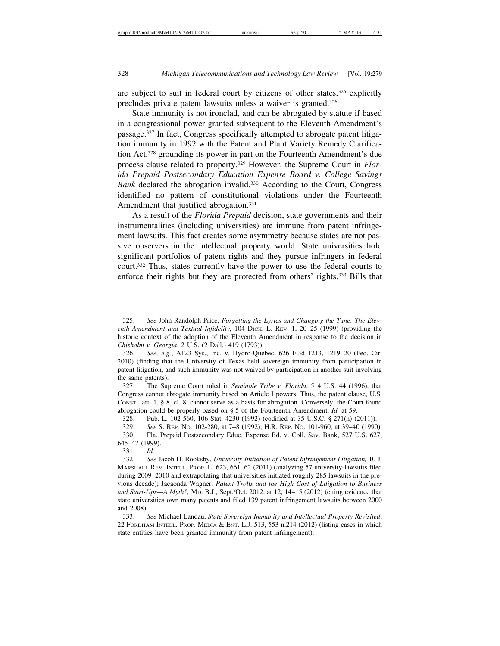are subject to suit in federal court by citizens of other states, $325$  explicitly precludes private patent lawsuits unless a waiver is granted.326

State immunity is not ironclad, and can be abrogated by statute if based in a congressional power granted subsequent to the Eleventh Amendment's passage.327 In fact, Congress specifically attempted to abrogate patent litigation immunity in 1992 with the Patent and Plant Variety Remedy Clarification Act,328 grounding its power in part on the Fourteenth Amendment's due process clause related to property.329 However, the Supreme Court in *Florida Prepaid Postsecondary Education Expense Board v. College Savings Bank* declared the abrogation invalid.330 According to the Court, Congress identified no pattern of constitutional violations under the Fourteenth Amendment that justified abrogation.<sup>331</sup>

As a result of the *Florida Prepaid* decision, state governments and their instrumentalities (including universities) are immune from patent infringement lawsuits. This fact creates some asymmetry because states are not passive observers in the intellectual property world. State universities hold significant portfolios of patent rights and they pursue infringers in federal court.332 Thus, states currently have the power to use the federal courts to enforce their rights but they are protected from others' rights.333 Bills that

327. The Supreme Court ruled in *Seminole Tribe v. Florida*, 514 U.S. 44 (1996), that Congress cannot abrogate immunity based on Article I powers. Thus, the patent clause, U.S. CONST., art. 1, § 8, cl. 8, cannot serve as a basis for abrogation. Conversely, the Court found abrogation could be properly based on § 5 of the Fourteenth Amendment. *Id.* at 59.

328. Pub. L. 102-560, 106 Stat. 4230 (1992) (codified at 35 U.S.C. § 271(h) (2011)).<br>329. See S. REP. No. 102-280, at 7–8 (1992); H.R. REP. No. 101-960, at 39–40 (1990

329. *See* S. REP. NO. 102-280, at 7–8 (1992); H.R. REP. NO. 101-960, at 39–40 (1990).

330. Fla. Prepaid Postsecondary Educ. Expense Bd. v. Coll. Sav. Bank, 527 U.S. 627, 645–47 (1999).<br>331. Id.

<sup>325.</sup> *See* John Randolph Price, *Forgetting the Lyrics and Changing the Tune: The Elev*enth Amendment and Textual Infidelity, 104 DICK. L. REV. 1, 20-25 (1999) (providing the historic context of the adoption of the Eleventh Amendment in response to the decision in *Chisholm v. Georgia*, 2 U.S. (2 Dall.) 419 (1793)).

<sup>326.</sup> *See, e.g.*, A123 Sys., Inc. v. Hydro-Quebec, 626 F.3d 1213, 1219–20 (Fed. Cir. 2010) (finding that the University of Texas held sovereign immunity from participation in patent litigation, and such immunity was not waived by participation in another suit involving the same patents).

<sup>332.</sup> *See* Jacob H. Rooksby, *University Initiation of Patent Infringement Litigation,* 10 J. MARSHALL REV. INTELL. PROP. L. 623, 661–62 (2011) (analyzing 57 university-lawsuits filed during 2009–2010 and extrapolating that universities initiated roughly 285 lawsuits in the previous decade); Jacaonda Wagner, *Patent Trolls and the High Cost of Litigation to Business and Start-Ups—A Myth?,* MD. B.J., Sept./Oct. 2012, at 12, 14–15 (2012) (citing evidence that state universities own many patents and filed 139 patent infringement lawsuits between 2000 and 2008).

<sup>333.</sup> *See* Michael Landau, *State Sovereign Immunity and Intellectual Property Revisited*, 22 FORDHAM INTELL. PROP. MEDIA & ENT. L.J. 513, 553 n.214 (2012) (listing cases in which state entities have been granted immunity from patent infringement).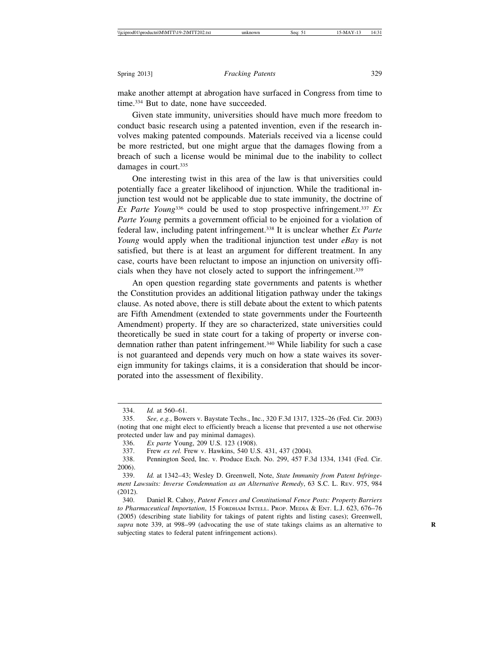make another attempt at abrogation have surfaced in Congress from time to time.<sup>334</sup> But to date, none have succeeded.

Given state immunity, universities should have much more freedom to conduct basic research using a patented invention, even if the research involves making patented compounds. Materials received via a license could be more restricted, but one might argue that the damages flowing from a breach of such a license would be minimal due to the inability to collect damages in court.335

One interesting twist in this area of the law is that universities could potentially face a greater likelihood of injunction. While the traditional injunction test would not be applicable due to state immunity, the doctrine of *Ex Parte Young*336 could be used to stop prospective infringement.337 *Ex Parte Young* permits a government official to be enjoined for a violation of federal law, including patent infringement.338 It is unclear whether *Ex Parte Young* would apply when the traditional injunction test under *eBay* is not satisfied, but there is at least an argument for different treatment. In any case, courts have been reluctant to impose an injunction on university officials when they have not closely acted to support the infringement.339

An open question regarding state governments and patents is whether the Constitution provides an additional litigation pathway under the takings clause. As noted above, there is still debate about the extent to which patents are Fifth Amendment (extended to state governments under the Fourteenth Amendment) property. If they are so characterized, state universities could theoretically be sued in state court for a taking of property or inverse condemnation rather than patent infringement.340 While liability for such a case is not guaranteed and depends very much on how a state waives its sovereign immunity for takings claims, it is a consideration that should be incorporated into the assessment of flexibility.

<sup>334.</sup> *Id.* at 560–61.

<sup>335.</sup> *See, e.g.*, Bowers v. Baystate Techs., Inc., 320 F.3d 1317, 1325–26 (Fed. Cir. 2003) (noting that one might elect to efficiently breach a license that prevented a use not otherwise protected under law and pay minimal damages).

<sup>336.</sup> *Ex parte* Young, 209 U.S. 123 (1908).

<sup>337.</sup> Frew *ex rel.* Frew v. Hawkins, 540 U.S. 431, 437 (2004).

<sup>338.</sup> Pennington Seed, Inc. v. Produce Exch. No. 299, 457 F.3d 1334, 1341 (Fed. Cir. 2006).

<sup>339.</sup> *Id.* at 1342–43; Wesley D. Greenwell, Note, *State Immunity from Patent Infringement Lawsuits: Inverse Condemnation as an Alternative Remedy*, 63 S.C. L. REV. 975, 984 (2012).

<sup>340.</sup> Daniel R. Cahoy, *Patent Fences and Constitutional Fence Posts: Property Barriers to Pharmaceutical Importation*, 15 FORDHAM INTELL. PROP. MEDIA & ENT. L.J. 623, 676–76 (2005) (describing state liability for takings of patent rights and listing cases); Greenwell, *supra* note 339, at 998–99 (advocating the use of state takings claims as an alternative to **R** subjecting states to federal patent infringement actions).